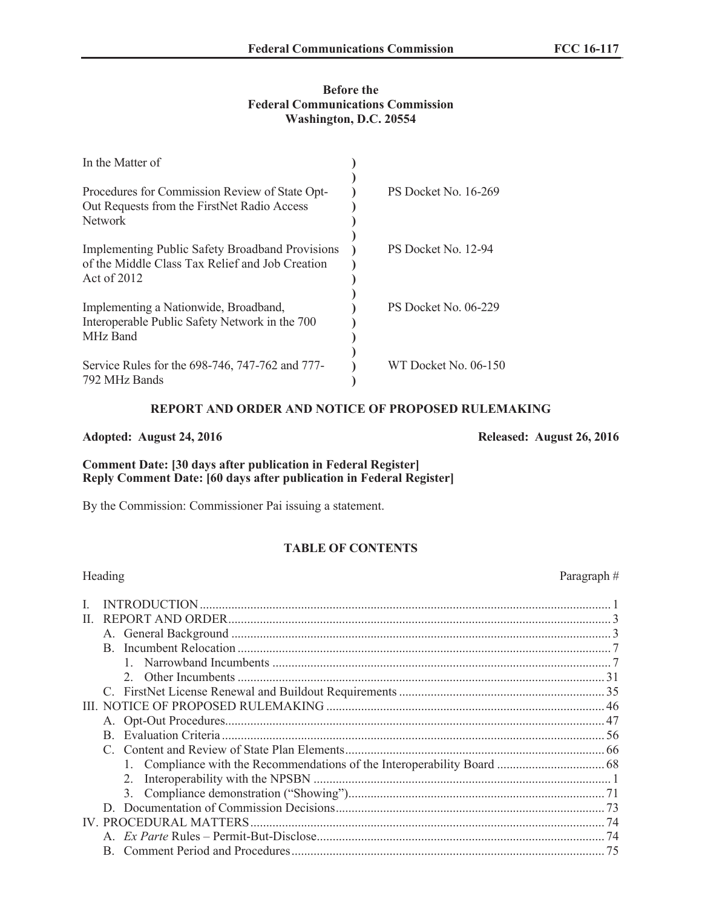## **Before the Federal Communications Commission Washington, D.C. 20554**

| In the Matter of                                                                                                         |                      |
|--------------------------------------------------------------------------------------------------------------------------|----------------------|
| Procedures for Commission Review of State Opt-<br>Out Requests from the FirstNet Radio Access<br>Network                 | PS Docket No. 16-269 |
| <b>Implementing Public Safety Broadband Provisions</b><br>of the Middle Class Tax Relief and Job Creation<br>Act of 2012 | PS Docket No. 12-94  |
| Implementing a Nationwide, Broadband,<br>Interoperable Public Safety Network in the 700<br>MHz Band                      | PS Docket No. 06-229 |
| Service Rules for the 698-746, 747-762 and 777-<br>792 MHz Bands                                                         | WT Docket No. 06-150 |

### **REPORT AND ORDER AND NOTICE OF PROPOSED RULEMAKING**

### **Adopted: August 24, 2016 Released: August 26, 2016**

## **Comment Date: [30 days after publication in Federal Register] Reply Comment Date: [60 days after publication in Federal Register]**

By the Commission: Commissioner Pai issuing a statement.

# **TABLE OF CONTENTS**

| Heading                    | Paragraph# |
|----------------------------|------------|
|                            |            |
|                            |            |
| H.                         |            |
|                            |            |
|                            |            |
|                            |            |
|                            |            |
|                            |            |
|                            |            |
|                            |            |
| Evaluation Criteria.<br>B. |            |
|                            |            |
|                            |            |
|                            |            |
| $3_{-}$                    |            |
|                            |            |
|                            |            |
|                            |            |
| R                          | 75         |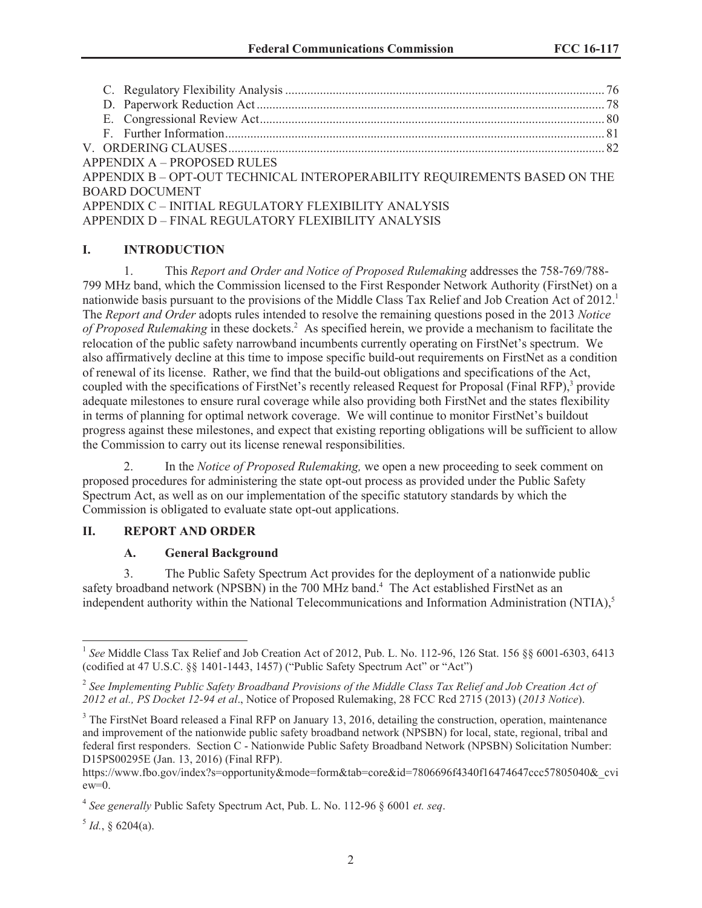| <b>APPENDIX A – PROPOSED RULES</b>                                        |  |
|---------------------------------------------------------------------------|--|
| APPENDIX B - OPT-OUT TECHNICAL INTEROPERABILITY REQUIREMENTS BASED ON THE |  |
| <b>BOARD DOCUMENT</b>                                                     |  |
| APPENDIX C - INITIAL REGULATORY FLEXIBILITY ANALYSIS                      |  |
| APPENDIX D - FINAL REGULATORY FLEXIBILITY ANALYSIS                        |  |
|                                                                           |  |

# **I. INTRODUCTION**

1. This *Report and Order and Notice of Proposed Rulemaking* addresses the 758-769/788- 799 MHz band, which the Commission licensed to the First Responder Network Authority (FirstNet) on a nationwide basis pursuant to the provisions of the Middle Class Tax Relief and Job Creation Act of 2012.<sup>1</sup> The *Report and Order* adopts rules intended to resolve the remaining questions posed in the 2013 *Notice of Proposed Rulemaking* in these dockets.<sup>2</sup> As specified herein, we provide a mechanism to facilitate the relocation of the public safety narrowband incumbents currently operating on FirstNet's spectrum. We also affirmatively decline at this time to impose specific build-out requirements on FirstNet as a condition of renewal of its license. Rather, we find that the build-out obligations and specifications of the Act, coupled with the specifications of FirstNet's recently released Request for Proposal (Final RFP),<sup>3</sup> provide adequate milestones to ensure rural coverage while also providing both FirstNet and the states flexibility in terms of planning for optimal network coverage. We will continue to monitor FirstNet's buildout progress against these milestones, and expect that existing reporting obligations will be sufficient to allow the Commission to carry out its license renewal responsibilities.

2. In the *Notice of Proposed Rulemaking,* we open a new proceeding to seek comment on proposed procedures for administering the state opt-out process as provided under the Public Safety Spectrum Act, as well as on our implementation of the specific statutory standards by which the Commission is obligated to evaluate state opt-out applications.

## **II. REPORT AND ORDER**

### **A. General Background**

3. The Public Safety Spectrum Act provides for the deployment of a nationwide public safety broadband network (NPSBN) in the 700 MHz band.<sup>4</sup> The Act established FirstNet as an independent authority within the National Telecommunications and Information Administration (NTIA),<sup>5</sup>

 $^5$  *Id.*, § 6204(a).

<sup>&</sup>lt;sup>1</sup> See Middle Class Tax Relief and Job Creation Act of 2012, Pub. L. No. 112-96, 126 Stat. 156 §§ 6001-6303, 6413 (codified at 47 U.S.C. §§ 1401-1443, 1457) ("Public Safety Spectrum Act" or "Act")

<sup>2</sup> *See Implementing Public Safety Broadband Provisions of the Middle Class Tax Relief and Job Creation Act of 2012 et al., PS Docket 12-94 et al*., Notice of Proposed Rulemaking, 28 FCC Rcd 2715 (2013) (*2013 Notice*).

<sup>&</sup>lt;sup>3</sup> The FirstNet Board released a Final RFP on January 13, 2016, detailing the construction, operation, maintenance and improvement of the nationwide public safety broadband network (NPSBN) for local, state, regional, tribal and federal first responders. Section C - Nationwide Public Safety Broadband Network (NPSBN) Solicitation Number: D15PS00295E (Jan. 13, 2016) (Final RFP).

https://www.fbo.gov/index?s=opportunity&mode=form&tab=core&id=7806696f4340f16474647ccc57805040&\_cvi  $ew=0$ .

<sup>4</sup> *See generally* Public Safety Spectrum Act, Pub. L. No. 112-96 § 6001 *et. seq*.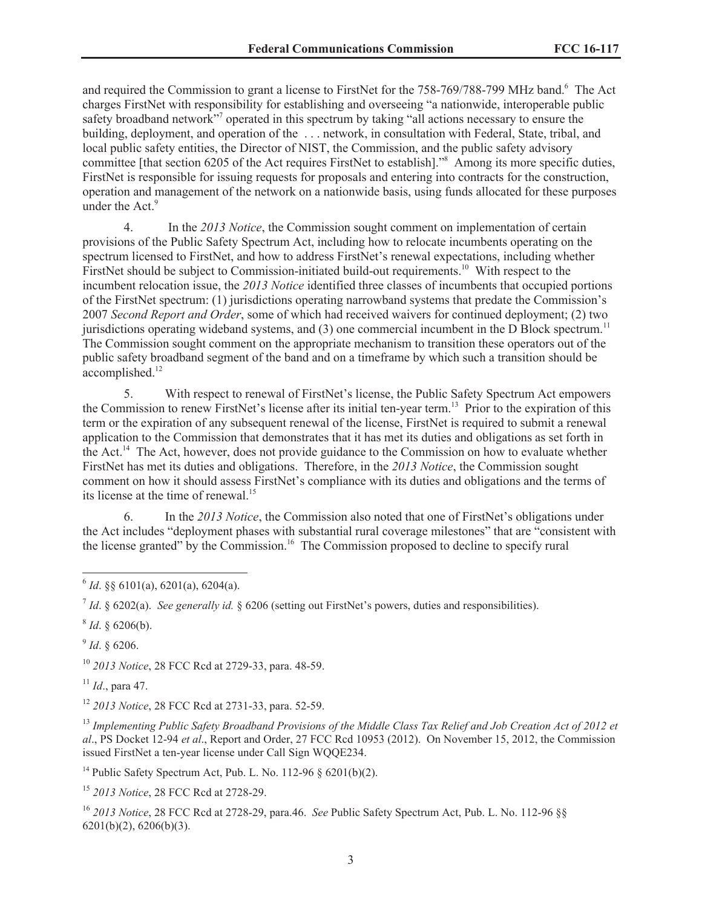and required the Commission to grant a license to FirstNet for the 758-769/788-799 MHz band.<sup>6</sup> The Act charges FirstNet with responsibility for establishing and overseeing "a nationwide, interoperable public safety broadband network"<sup>7</sup> operated in this spectrum by taking "all actions necessary to ensure the building, deployment, and operation of the ... network, in consultation with Federal, State, tribal, and local public safety entities, the Director of NIST, the Commission, and the public safety advisory committee [that section 6205 of the Act requires FirstNet to establish]."<sup>8</sup> Among its more specific duties, FirstNet is responsible for issuing requests for proposals and entering into contracts for the construction, operation and management of the network on a nationwide basis, using funds allocated for these purposes under the Act.<sup>9</sup>

4. In the *2013 Notice*, the Commission sought comment on implementation of certain provisions of the Public Safety Spectrum Act, including how to relocate incumbents operating on the spectrum licensed to FirstNet, and how to address FirstNet's renewal expectations, including whether FirstNet should be subject to Commission-initiated build-out requirements.<sup>10</sup> With respect to the incumbent relocation issue, the *2013 Notice* identified three classes of incumbents that occupied portions of the FirstNet spectrum: (1) jurisdictions operating narrowband systems that predate the Commission's 2007 *Second Report and Order*, some of which had received waivers for continued deployment; (2) two jurisdictions operating wideband systems, and  $(3)$  one commercial incumbent in the D Block spectrum.<sup>11</sup> The Commission sought comment on the appropriate mechanism to transition these operators out of the public safety broadband segment of the band and on a timeframe by which such a transition should be accomplished.<sup>12</sup>

5. With respect to renewal of FirstNet's license, the Public Safety Spectrum Act empowers the Commission to renew FirstNet's license after its initial ten-year term.<sup>13</sup> Prior to the expiration of this term or the expiration of any subsequent renewal of the license, FirstNet is required to submit a renewal application to the Commission that demonstrates that it has met its duties and obligations as set forth in the Act.<sup>14</sup> The Act, however, does not provide guidance to the Commission on how to evaluate whether FirstNet has met its duties and obligations. Therefore, in the *2013 Notice*, the Commission sought comment on how it should assess FirstNet's compliance with its duties and obligations and the terms of its license at the time of renewal.<sup>15</sup>

6. In the *2013 Notice*, the Commission also noted that one of FirstNet's obligations under the Act includes "deployment phases with substantial rural coverage milestones" that are "consistent with the license granted" by the Commission.<sup>16</sup> The Commission proposed to decline to specify rural

 $^7$  *Id.* § 6202(a). *See generally id.* § 6206 (setting out FirstNet's powers, duties and responsibilities).

 $8$  *Id.* § 6206(b).

9 *Id*. § 6206.

<sup>10</sup> *2013 Notice*, 28 FCC Rcd at 2729-33, para. 48-59.

<sup>11</sup> *Id*., para 47.

<sup>12</sup> *2013 Notice*, 28 FCC Rcd at 2731-33, para. 52-59.

<sup>13</sup> *Implementing Public Safety Broadband Provisions of the Middle Class Tax Relief and Job Creation Act of 2012 et al*., PS Docket 12-94 *et al*., Report and Order, 27 FCC Rcd 10953 (2012). On November 15, 2012, the Commission issued FirstNet a ten-year license under Call Sign WQQE234.

<sup>14</sup> Public Safety Spectrum Act, Pub. L. No. 112-96 § 6201(b)(2).

<sup>15</sup> *2013 Notice*, 28 FCC Rcd at 2728-29.

<sup>16</sup> *2013 Notice*, 28 FCC Rcd at 2728-29, para.46. *See* Public Safety Spectrum Act, Pub. L. No. 112-96 §§ 6201(b)(2), 6206(b)(3).

 $^{6}$  *Id*. §§ 6101(a), 6201(a), 6204(a).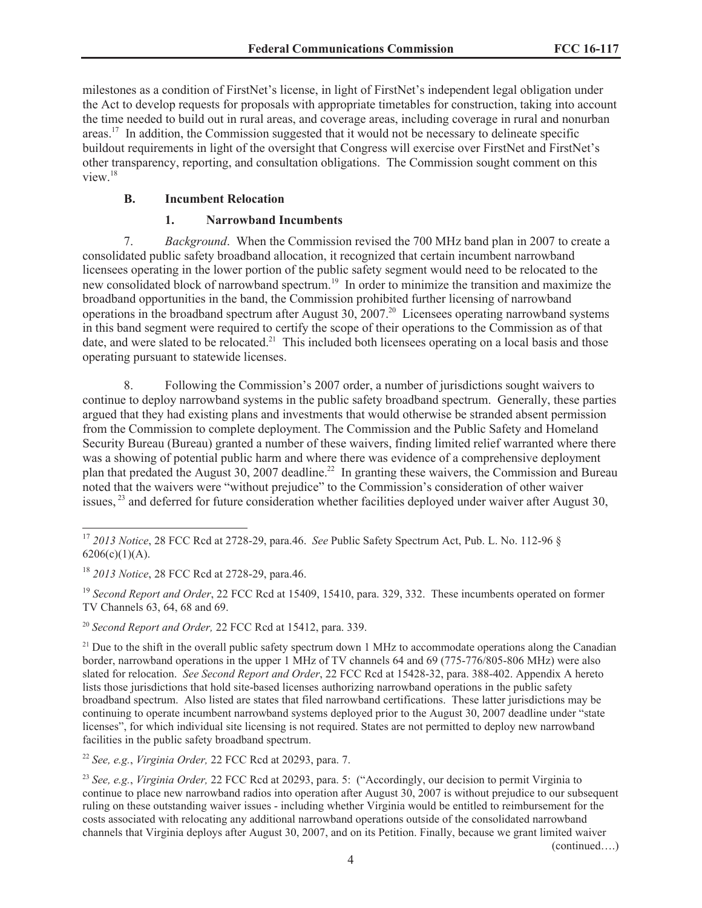milestones as a condition of FirstNet's license, in light of FirstNet's independent legal obligation under the Act to develop requests for proposals with appropriate timetables for construction, taking into account the time needed to build out in rural areas, and coverage areas, including coverage in rural and nonurban areas.<sup>17</sup> In addition, the Commission suggested that it would not be necessary to delineate specific buildout requirements in light of the oversight that Congress will exercise over FirstNet and FirstNet's other transparency, reporting, and consultation obligations. The Commission sought comment on this view.<sup>18</sup>

## **B. Incumbent Relocation**

## **1. Narrowband Incumbents**

7. *Background*. When the Commission revised the 700 MHz band plan in 2007 to create a consolidated public safety broadband allocation, it recognized that certain incumbent narrowband licensees operating in the lower portion of the public safety segment would need to be relocated to the new consolidated block of narrowband spectrum.<sup>19</sup> In order to minimize the transition and maximize the broadband opportunities in the band, the Commission prohibited further licensing of narrowband operations in the broadband spectrum after August 30, 2007.<sup>20</sup> Licensees operating narrowband systems in this band segment were required to certify the scope of their operations to the Commission as of that date, and were slated to be relocated.<sup>21</sup> This included both licensees operating on a local basis and those operating pursuant to statewide licenses.

8. Following the Commission's 2007 order, a number of jurisdictions sought waivers to continue to deploy narrowband systems in the public safety broadband spectrum. Generally, these parties argued that they had existing plans and investments that would otherwise be stranded absent permission from the Commission to complete deployment. The Commission and the Public Safety and Homeland Security Bureau (Bureau) granted a number of these waivers, finding limited relief warranted where there was a showing of potential public harm and where there was evidence of a comprehensive deployment plan that predated the August 30, 2007 deadline.<sup>22</sup> In granting these waivers, the Commission and Bureau noted that the waivers were "without prejudice" to the Commission's consideration of other waiver issues, <sup>23</sup> and deferred for future consideration whether facilities deployed under waiver after August 30,

<sup>22</sup> *See, e.g.*, *Virginia Order,* 22 FCC Rcd at 20293, para. 7.

<sup>23</sup> *See, e.g.*, *Virginia Order,* 22 FCC Rcd at 20293, para. 5: ("Accordingly, our decision to permit Virginia to continue to place new narrowband radios into operation after August 30, 2007 is without prejudice to our subsequent ruling on these outstanding waiver issues - including whether Virginia would be entitled to reimbursement for the costs associated with relocating any additional narrowband operations outside of the consolidated narrowband channels that Virginia deploys after August 30, 2007, and on its Petition. Finally, because we grant limited waiver

(continued….)

<sup>17</sup> *2013 Notice*, 28 FCC Rcd at 2728-29, para.46. *See* Public Safety Spectrum Act, Pub. L. No. 112-96 §  $6206(c)(1)(A)$ .

<sup>18</sup> *2013 Notice*, 28 FCC Rcd at 2728-29, para.46.

<sup>&</sup>lt;sup>19</sup> *Second Report and Order*, 22 FCC Rcd at 15409, 15410, para. 329, 332. These incumbents operated on former TV Channels 63, 64, 68 and 69.

<sup>20</sup> *Second Report and Order,* 22 FCC Rcd at 15412, para. 339.

<sup>&</sup>lt;sup>21</sup> Due to the shift in the overall public safety spectrum down 1 MHz to accommodate operations along the Canadian border, narrowband operations in the upper 1 MHz of TV channels 64 and 69 (775-776/805-806 MHz) were also slated for relocation. *See Second Report and Order*, 22 FCC Rcd at 15428-32, para. 388-402. Appendix A hereto lists those jurisdictions that hold site-based licenses authorizing narrowband operations in the public safety broadband spectrum. Also listed are states that filed narrowband certifications. These latter jurisdictions may be continuing to operate incumbent narrowband systems deployed prior to the August 30, 2007 deadline under "state licenses", for which individual site licensing is not required. States are not permitted to deploy new narrowband facilities in the public safety broadband spectrum.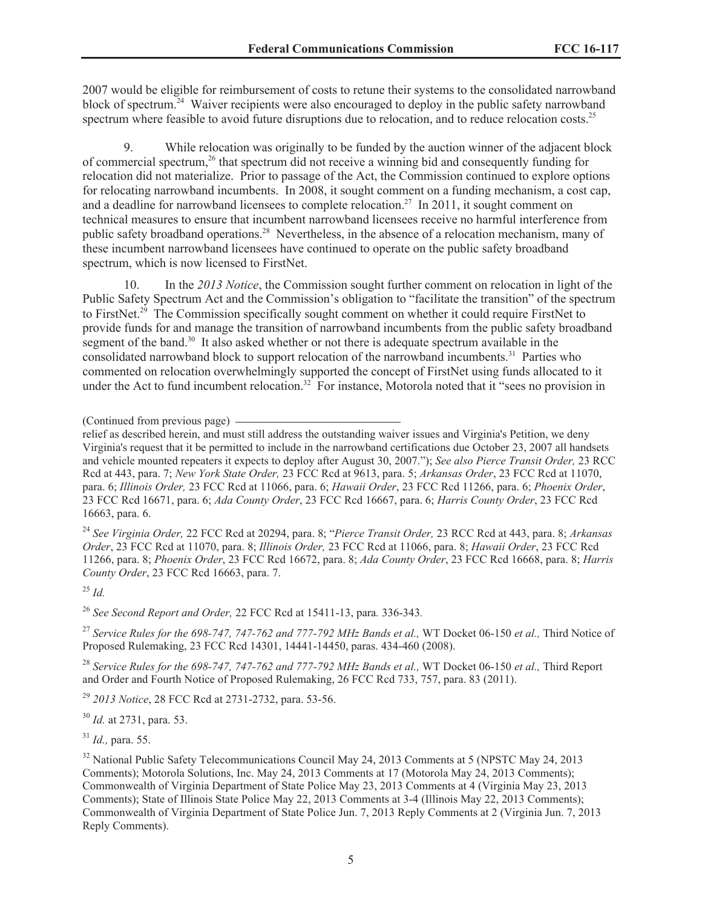2007 would be eligible for reimbursement of costs to retune their systems to the consolidated narrowband block of spectrum.<sup>24</sup> Waiver recipients were also encouraged to deploy in the public safety narrowband spectrum where feasible to avoid future disruptions due to relocation, and to reduce relocation costs.<sup>25</sup>

9. While relocation was originally to be funded by the auction winner of the adjacent block of commercial spectrum,<sup>26</sup> that spectrum did not receive a winning bid and consequently funding for relocation did not materialize. Prior to passage of the Act, the Commission continued to explore options for relocating narrowband incumbents. In 2008, it sought comment on a funding mechanism, a cost cap, and a deadline for narrowband licensees to complete relocation.<sup>27</sup> In 2011, it sought comment on technical measures to ensure that incumbent narrowband licensees receive no harmful interference from public safety broadband operations.<sup>28</sup> Nevertheless, in the absence of a relocation mechanism, many of these incumbent narrowband licensees have continued to operate on the public safety broadband spectrum, which is now licensed to FirstNet.

10. In the *2013 Notice*, the Commission sought further comment on relocation in light of the Public Safety Spectrum Act and the Commission's obligation to "facilitate the transition" of the spectrum to FirstNet.<sup>29</sup> The Commission specifically sought comment on whether it could require FirstNet to provide funds for and manage the transition of narrowband incumbents from the public safety broadband segment of the band.<sup>30</sup> It also asked whether or not there is adequate spectrum available in the consolidated narrowband block to support relocation of the narrowband incumbents.<sup>31</sup> Parties who commented on relocation overwhelmingly supported the concept of FirstNet using funds allocated to it under the Act to fund incumbent relocation.<sup>32</sup> For instance, Motorola noted that it "sees no provision in

<sup>24</sup> *See Virginia Order,* 22 FCC Rcd at 20294, para. 8; "*Pierce Transit Order,* 23 RCC Rcd at 443, para. 8; *Arkansas Order*, 23 FCC Rcd at 11070, para. 8; *Illinois Order,* 23 FCC Rcd at 11066, para. 8; *Hawaii Order*, 23 FCC Rcd 11266, para. 8; *Phoenix Order*, 23 FCC Rcd 16672, para. 8; *Ada County Order*, 23 FCC Rcd 16668, para. 8; *Harris County Order*, 23 FCC Rcd 16663, para. 7.

<sup>25</sup> *Id.*

<sup>26</sup> *See Second Report and Order,* 22 FCC Rcd at 15411-13, para*.* 336-343*.*

<sup>27</sup> *Service Rules for the 698-747, 747-762 and 777-792 MHz Bands et al.,* WT Docket 06-150 *et al.,* Third Notice of Proposed Rulemaking, 23 FCC Rcd 14301, 14441-14450, paras. 434-460 (2008).

<sup>28</sup> *Service Rules for the 698-747, 747-762 and 777-792 MHz Bands et al.,* WT Docket 06-150 *et al.,* Third Report and Order and Fourth Notice of Proposed Rulemaking, 26 FCC Rcd 733, 757, para. 83 (2011).

<sup>29</sup> *2013 Notice*, 28 FCC Rcd at 2731-2732, para. 53-56.

<sup>30</sup> *Id.* at 2731, para. 53.

<sup>31</sup> *Id.,* para. 55.

<sup>32</sup> National Public Safety Telecommunications Council May 24, 2013 Comments at 5 (NPSTC May 24, 2013) Comments); Motorola Solutions, Inc. May 24, 2013 Comments at 17 (Motorola May 24, 2013 Comments); Commonwealth of Virginia Department of State Police May 23, 2013 Comments at 4 (Virginia May 23, 2013 Comments); State of Illinois State Police May 22, 2013 Comments at 3-4 (Illinois May 22, 2013 Comments); Commonwealth of Virginia Department of State Police Jun. 7, 2013 Reply Comments at 2 (Virginia Jun. 7, 2013 Reply Comments).

<sup>(</sup>Continued from previous page)

relief as described herein, and must still address the outstanding waiver issues and Virginia's Petition, we deny Virginia's request that it be permitted to include in the narrowband certifications due October 23, 2007 all handsets and vehicle mounted repeaters it expects to deploy after August 30, 2007."); *See also Pierce Transit Order,* 23 RCC Rcd at 443, para. 7; *New York State Order,* 23 FCC Rcd at 9613, para. 5; *Arkansas Order*, 23 FCC Rcd at 11070, para. 6; *Illinois Order,* 23 FCC Rcd at 11066, para. 6; *Hawaii Order*, 23 FCC Rcd 11266, para. 6; *Phoenix Order*, 23 FCC Rcd 16671, para. 6; *Ada County Order*, 23 FCC Rcd 16667, para. 6; *Harris County Order*, 23 FCC Rcd 16663, para. 6.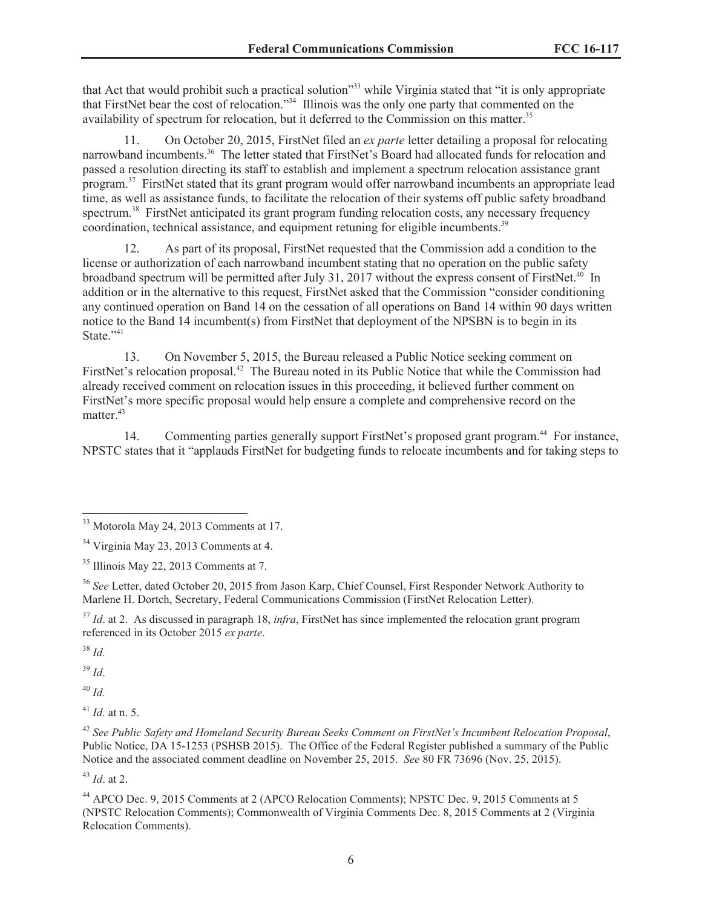that Act that would prohibit such a practical solution<sup>333</sup> while Virginia stated that "it is only appropriate that FirstNet bear the cost of relocation."<sup>34</sup> Illinois was the only one party that commented on the availability of spectrum for relocation, but it deferred to the Commission on this matter.<sup>35</sup>

11. On October 20, 2015, FirstNet filed an *ex parte* letter detailing a proposal for relocating narrowband incumbents.<sup>36</sup> The letter stated that FirstNet's Board had allocated funds for relocation and passed a resolution directing its staff to establish and implement a spectrum relocation assistance grant program.<sup>37</sup> FirstNet stated that its grant program would offer narrowband incumbents an appropriate lead time, as well as assistance funds, to facilitate the relocation of their systems off public safety broadband spectrum.<sup>38</sup> FirstNet anticipated its grant program funding relocation costs, any necessary frequency coordination, technical assistance, and equipment retuning for eligible incumbents.<sup>39</sup>

12. As part of its proposal, FirstNet requested that the Commission add a condition to the license or authorization of each narrowband incumbent stating that no operation on the public safety broadband spectrum will be permitted after July 31, 2017 without the express consent of FirstNet.<sup>40</sup> In addition or in the alternative to this request, FirstNet asked that the Commission "consider conditioning any continued operation on Band 14 on the cessation of all operations on Band 14 within 90 days written notice to the Band 14 incumbent(s) from FirstNet that deployment of the NPSBN is to begin in its State."41

13. On November 5, 2015, the Bureau released a Public Notice seeking comment on FirstNet's relocation proposal.<sup>42</sup> The Bureau noted in its Public Notice that while the Commission had already received comment on relocation issues in this proceeding, it believed further comment on FirstNet's more specific proposal would help ensure a complete and comprehensive record on the matter.<sup>43</sup>

14. Commenting parties generally support FirstNet's proposed grant program.<sup>44</sup> For instance, NPSTC states that it "applauds FirstNet for budgeting funds to relocate incumbents and for taking steps to

<sup>38</sup> *Id.*

<sup>39</sup> *Id*.

<sup>40</sup> *Id.*

<sup>41</sup> *Id.* at n. 5.

<sup>42</sup> *See Public Safety and Homeland Security Bureau Seeks Comment on FirstNet's Incumbent Relocation Proposal*, Public Notice, DA 15-1253 (PSHSB 2015). The Office of the Federal Register published a summary of the Public Notice and the associated comment deadline on November 25, 2015. *See* 80 FR 73696 (Nov. 25, 2015).

<sup>43</sup> *Id*. at 2.

<sup>&</sup>lt;sup>33</sup> Motorola May 24, 2013 Comments at 17.

<sup>34</sup> Virginia May 23, 2013 Comments at 4.

<sup>35</sup> Illinois May 22, 2013 Comments at 7.

<sup>36</sup> *See* Letter, dated October 20, 2015 from Jason Karp, Chief Counsel, First Responder Network Authority to Marlene H. Dortch, Secretary, Federal Communications Commission (FirstNet Relocation Letter).

<sup>&</sup>lt;sup>37</sup> *Id.* at 2. As discussed in paragraph 18, *infra*, FirstNet has since implemented the relocation grant program referenced in its October 2015 *ex parte*.

<sup>44</sup> APCO Dec. 9, 2015 Comments at 2 (APCO Relocation Comments); NPSTC Dec. 9, 2015 Comments at 5 (NPSTC Relocation Comments); Commonwealth of Virginia Comments Dec. 8, 2015 Comments at 2 (Virginia Relocation Comments).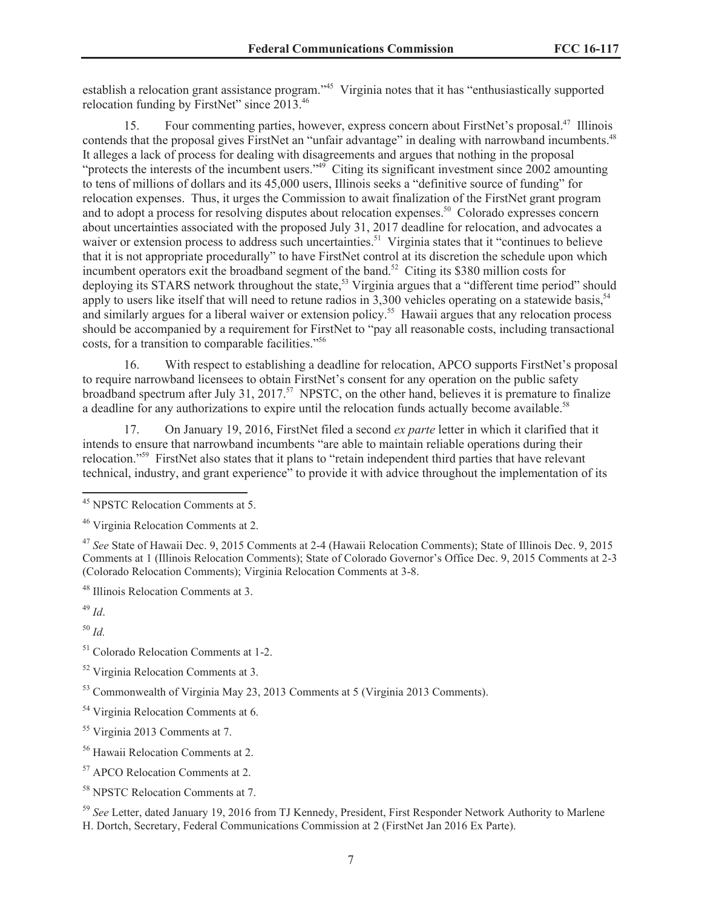establish a relocation grant assistance program."<sup>45</sup> Virginia notes that it has "enthusiastically supported relocation funding by FirstNet" since 2013.<sup>46</sup>

15. Four commenting parties, however, express concern about FirstNet's proposal.<sup>47</sup> Illinois contends that the proposal gives FirstNet an "unfair advantage" in dealing with narrowband incumbents.<sup>48</sup> It alleges a lack of process for dealing with disagreements and argues that nothing in the proposal "protects the interests of the incumbent users."<sup>49</sup> Citing its significant investment since 2002 amounting to tens of millions of dollars and its 45,000 users, Illinois seeks a "definitive source of funding" for relocation expenses. Thus, it urges the Commission to await finalization of the FirstNet grant program and to adopt a process for resolving disputes about relocation expenses.<sup>50</sup> Colorado expresses concern about uncertainties associated with the proposed July 31, 2017 deadline for relocation, and advocates a waiver or extension process to address such uncertainties.<sup>51</sup> Virginia states that it "continues to believe that it is not appropriate procedurally" to have FirstNet control at its discretion the schedule upon which incumbent operators exit the broadband segment of the band.<sup>52</sup> Citing its \$380 million costs for deploying its STARS network throughout the state,<sup>53</sup> Virginia argues that a "different time period" should apply to users like itself that will need to retune radios in 3,300 vehicles operating on a statewide basis.<sup>54</sup> and similarly argues for a liberal waiver or extension policy.<sup>55</sup> Hawaii argues that any relocation process should be accompanied by a requirement for FirstNet to "pay all reasonable costs, including transactional costs, for a transition to comparable facilities."<sup>56</sup>

16. With respect to establishing a deadline for relocation, APCO supports FirstNet's proposal to require narrowband licensees to obtain FirstNet's consent for any operation on the public safety broadband spectrum after July 31, 2017.<sup>57</sup> NPSTC, on the other hand, believes it is premature to finalize a deadline for any authorizations to expire until the relocation funds actually become available.<sup>58</sup>

17. On January 19, 2016, FirstNet filed a second *ex parte* letter in which it clarified that it intends to ensure that narrowband incumbents "are able to maintain reliable operations during their relocation."<sup>59</sup> FirstNet also states that it plans to "retain independent third parties that have relevant technical, industry, and grant experience" to provide it with advice throughout the implementation of its

<sup>49</sup> *Id*.

<sup>50</sup> *Id.*

<sup>51</sup> Colorado Relocation Comments at 1-2.

<sup>59</sup> *See* Letter, dated January 19, 2016 from TJ Kennedy, President, First Responder Network Authority to Marlene H. Dortch, Secretary, Federal Communications Commission at 2 (FirstNet Jan 2016 Ex Parte).

<sup>45</sup> NPSTC Relocation Comments at 5.

<sup>46</sup> Virginia Relocation Comments at 2.

<sup>47</sup> *See* State of Hawaii Dec. 9, 2015 Comments at 2-4 (Hawaii Relocation Comments); State of Illinois Dec. 9, 2015 Comments at 1 (Illinois Relocation Comments); State of Colorado Governor's Office Dec. 9, 2015 Comments at 2-3 (Colorado Relocation Comments); Virginia Relocation Comments at 3-8.

<sup>48</sup> Illinois Relocation Comments at 3.

<sup>52</sup> Virginia Relocation Comments at 3.

<sup>53</sup> Commonwealth of Virginia May 23, 2013 Comments at 5 (Virginia 2013 Comments).

<sup>&</sup>lt;sup>54</sup> Virginia Relocation Comments at 6.

<sup>55</sup> Virginia 2013 Comments at 7.

<sup>56</sup> Hawaii Relocation Comments at 2.

<sup>57</sup> APCO Relocation Comments at 2.

<sup>58</sup> NPSTC Relocation Comments at 7.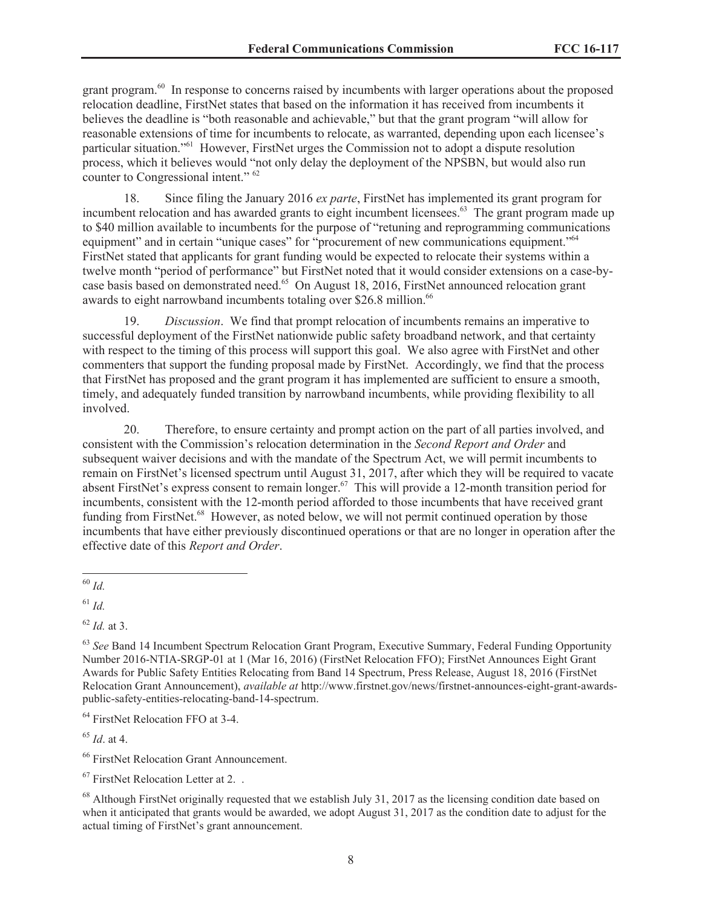grant program.<sup>60</sup> In response to concerns raised by incumbents with larger operations about the proposed relocation deadline, FirstNet states that based on the information it has received from incumbents it believes the deadline is "both reasonable and achievable," but that the grant program "will allow for reasonable extensions of time for incumbents to relocate, as warranted, depending upon each licensee's particular situation."<sup>61</sup> However, FirstNet urges the Commission not to adopt a dispute resolution process, which it believes would "not only delay the deployment of the NPSBN, but would also run counter to Congressional intent." <sup>62</sup>

18. Since filing the January 2016 *ex parte*, FirstNet has implemented its grant program for incumbent relocation and has awarded grants to eight incumbent licensees.<sup>63</sup> The grant program made up to \$40 million available to incumbents for the purpose of "retuning and reprogramming communications equipment" and in certain "unique cases" for "procurement of new communications equipment."<sup>64</sup> FirstNet stated that applicants for grant funding would be expected to relocate their systems within a twelve month "period of performance" but FirstNet noted that it would consider extensions on a case-bycase basis based on demonstrated need.<sup>65</sup> On August 18, 2016, FirstNet announced relocation grant awards to eight narrowband incumbents totaling over \$26.8 million.<sup>66</sup>

19. *Discussion*. We find that prompt relocation of incumbents remains an imperative to successful deployment of the FirstNet nationwide public safety broadband network, and that certainty with respect to the timing of this process will support this goal. We also agree with FirstNet and other commenters that support the funding proposal made by FirstNet. Accordingly, we find that the process that FirstNet has proposed and the grant program it has implemented are sufficient to ensure a smooth, timely, and adequately funded transition by narrowband incumbents, while providing flexibility to all involved.

20. Therefore, to ensure certainty and prompt action on the part of all parties involved, and consistent with the Commission's relocation determination in the *Second Report and Order* and subsequent waiver decisions and with the mandate of the Spectrum Act, we will permit incumbents to remain on FirstNet's licensed spectrum until August 31, 2017, after which they will be required to vacate absent FirstNet's express consent to remain longer.<sup>67</sup> This will provide a 12-month transition period for incumbents, consistent with the 12-month period afforded to those incumbents that have received grant funding from FirstNet.<sup>68</sup> However, as noted below, we will not permit continued operation by those incumbents that have either previously discontinued operations or that are no longer in operation after the effective date of this *Report and Order*.

<sup>64</sup> FirstNet Relocation FFO at 3-4.

<sup>65</sup> *Id*. at 4.

<sup>66</sup> FirstNet Relocation Grant Announcement.

<sup>60</sup> *Id.*

 $^{61}$  *Id.* 

<sup>62</sup> *Id.* at 3.

<sup>&</sup>lt;sup>63</sup> See Band 14 Incumbent Spectrum Relocation Grant Program, Executive Summary, Federal Funding Opportunity Number 2016-NTIA-SRGP-01 at 1 (Mar 16, 2016) (FirstNet Relocation FFO); FirstNet Announces Eight Grant Awards for Public Safety Entities Relocating from Band 14 Spectrum, Press Release, August 18, 2016 (FirstNet Relocation Grant Announcement), *available at* http://www.firstnet.gov/news/firstnet-announces-eight-grant-awardspublic-safety-entities-relocating-band-14-spectrum.

<sup>67</sup> FirstNet Relocation Letter at 2. .

 $^{68}$  Although FirstNet originally requested that we establish July 31, 2017 as the licensing condition date based on when it anticipated that grants would be awarded, we adopt August 31, 2017 as the condition date to adjust for the actual timing of FirstNet's grant announcement.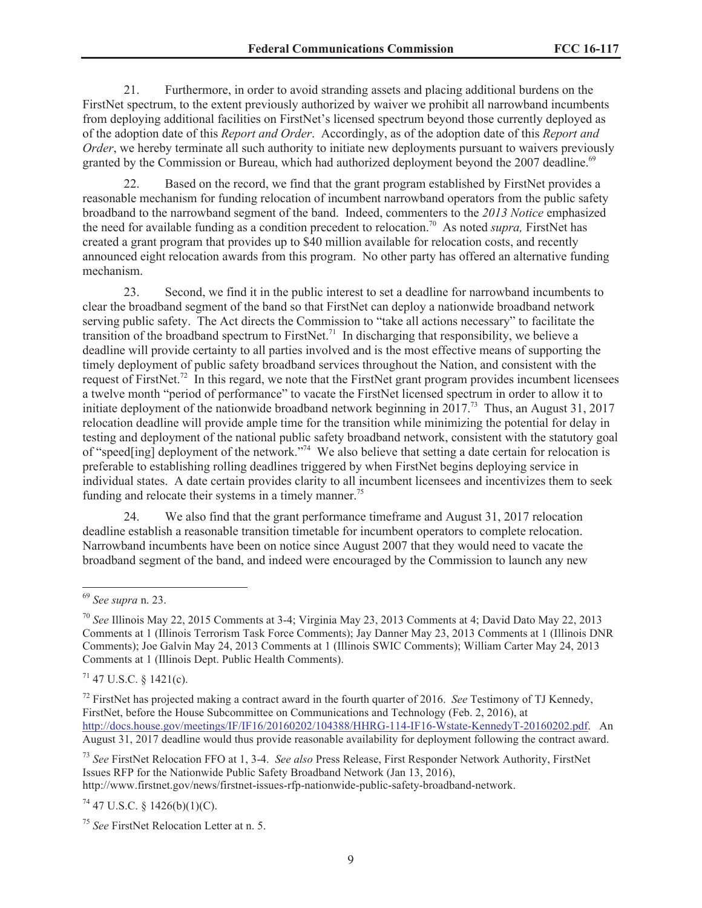21. Furthermore, in order to avoid stranding assets and placing additional burdens on the FirstNet spectrum, to the extent previously authorized by waiver we prohibit all narrowband incumbents from deploying additional facilities on FirstNet's licensed spectrum beyond those currently deployed as of the adoption date of this *Report and Order*. Accordingly, as of the adoption date of this *Report and Order*, we hereby terminate all such authority to initiate new deployments pursuant to waivers previously granted by the Commission or Bureau, which had authorized deployment beyond the 2007 deadline.<sup>69</sup>

22. Based on the record, we find that the grant program established by FirstNet provides a reasonable mechanism for funding relocation of incumbent narrowband operators from the public safety broadband to the narrowband segment of the band. Indeed, commenters to the *2013 Notice* emphasized the need for available funding as a condition precedent to relocation.<sup>70</sup> As noted *supra,* FirstNet has created a grant program that provides up to \$40 million available for relocation costs, and recently announced eight relocation awards from this program. No other party has offered an alternative funding mechanism.

23. Second, we find it in the public interest to set a deadline for narrowband incumbents to clear the broadband segment of the band so that FirstNet can deploy a nationwide broadband network serving public safety. The Act directs the Commission to "take all actions necessary" to facilitate the transition of the broadband spectrum to FirstNet.<sup>71</sup> In discharging that responsibility, we believe a deadline will provide certainty to all parties involved and is the most effective means of supporting the timely deployment of public safety broadband services throughout the Nation, and consistent with the request of FirstNet.<sup>72</sup> In this regard, we note that the FirstNet grant program provides incumbent licensees a twelve month "period of performance" to vacate the FirstNet licensed spectrum in order to allow it to initiate deployment of the nationwide broadband network beginning in 2017.<sup>73</sup> Thus, an August 31, 2017 relocation deadline will provide ample time for the transition while minimizing the potential for delay in testing and deployment of the national public safety broadband network, consistent with the statutory goal of "speed[ing] deployment of the network."<sup>74</sup> We also believe that setting a date certain for relocation is preferable to establishing rolling deadlines triggered by when FirstNet begins deploying service in individual states. A date certain provides clarity to all incumbent licensees and incentivizes them to seek funding and relocate their systems in a timely manner.<sup>75</sup>

24. We also find that the grant performance timeframe and August 31, 2017 relocation deadline establish a reasonable transition timetable for incumbent operators to complete relocation. Narrowband incumbents have been on notice since August 2007 that they would need to vacate the broadband segment of the band, and indeed were encouraged by the Commission to launch any new

 $71$  47 U.S.C. § 1421(c).

http://www.firstnet.gov/news/firstnet-issues-rfp-nationwide-public-safety-broadband-network.

 $^{74}$  47 U.S.C. § 1426(b)(1)(C).

<sup>69</sup> *See supra* n. 23.

<sup>70</sup> *See* Illinois May 22, 2015 Comments at 3-4; Virginia May 23, 2013 Comments at 4; David Dato May 22, 2013 Comments at 1 (Illinois Terrorism Task Force Comments); Jay Danner May 23, 2013 Comments at 1 (Illinois DNR Comments); Joe Galvin May 24, 2013 Comments at 1 (Illinois SWIC Comments); William Carter May 24, 2013 Comments at 1 (Illinois Dept. Public Health Comments).

<sup>72</sup> FirstNet has projected making a contract award in the fourth quarter of 2016. *See* Testimony of TJ Kennedy, FirstNet, before the House Subcommittee on Communications and Technology (Feb. 2, 2016), at http://docs.house.gov/meetings/IF/IF16/20160202/104388/HHRG-114-IF16-Wstate-KennedyT-20160202.pdf. An August 31, 2017 deadline would thus provide reasonable availability for deployment following the contract award.

<sup>73</sup> *See* FirstNet Relocation FFO at 1, 3-4. *See also* Press Release, First Responder Network Authority, FirstNet Issues RFP for the Nationwide Public Safety Broadband Network (Jan 13, 2016),

<sup>75</sup> *See* FirstNet Relocation Letter at n. 5.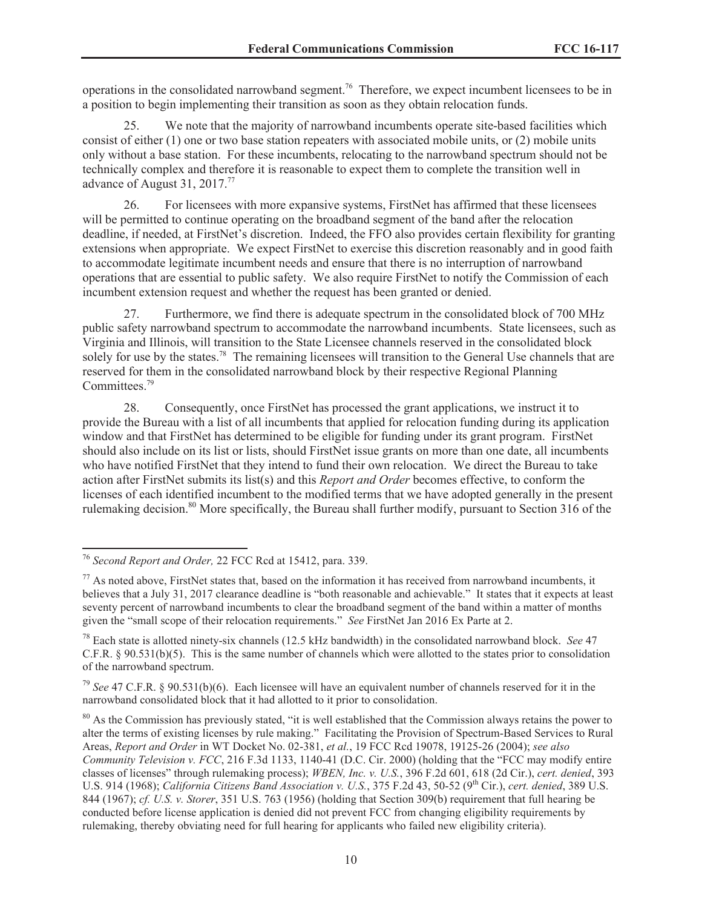operations in the consolidated narrowband segment.<sup>76</sup> Therefore, we expect incumbent licensees to be in a position to begin implementing their transition as soon as they obtain relocation funds.

25. We note that the majority of narrowband incumbents operate site-based facilities which consist of either (1) one or two base station repeaters with associated mobile units, or (2) mobile units only without a base station. For these incumbents, relocating to the narrowband spectrum should not be technically complex and therefore it is reasonable to expect them to complete the transition well in advance of August 31, 2017.<sup>77</sup>

26. For licensees with more expansive systems, FirstNet has affirmed that these licensees will be permitted to continue operating on the broadband segment of the band after the relocation deadline, if needed, at FirstNet's discretion. Indeed, the FFO also provides certain flexibility for granting extensions when appropriate. We expect FirstNet to exercise this discretion reasonably and in good faith to accommodate legitimate incumbent needs and ensure that there is no interruption of narrowband operations that are essential to public safety. We also require FirstNet to notify the Commission of each incumbent extension request and whether the request has been granted or denied.

27. Furthermore, we find there is adequate spectrum in the consolidated block of 700 MHz public safety narrowband spectrum to accommodate the narrowband incumbents. State licensees, such as Virginia and Illinois, will transition to the State Licensee channels reserved in the consolidated block solely for use by the states.<sup>78</sup> The remaining licensees will transition to the General Use channels that are reserved for them in the consolidated narrowband block by their respective Regional Planning Committees.<sup>79</sup>

28. Consequently, once FirstNet has processed the grant applications, we instruct it to provide the Bureau with a list of all incumbents that applied for relocation funding during its application window and that FirstNet has determined to be eligible for funding under its grant program. FirstNet should also include on its list or lists, should FirstNet issue grants on more than one date, all incumbents who have notified FirstNet that they intend to fund their own relocation. We direct the Bureau to take action after FirstNet submits its list(s) and this *Report and Order* becomes effective, to conform the licenses of each identified incumbent to the modified terms that we have adopted generally in the present rulemaking decision.<sup>80</sup> More specifically, the Bureau shall further modify, pursuant to Section 316 of the

<sup>76</sup> *Second Report and Order,* 22 FCC Rcd at 15412, para. 339.

 $77$  As noted above, FirstNet states that, based on the information it has received from narrowband incumbents, it believes that a July 31, 2017 clearance deadline is "both reasonable and achievable." It states that it expects at least seventy percent of narrowband incumbents to clear the broadband segment of the band within a matter of months given the "small scope of their relocation requirements." *See* FirstNet Jan 2016 Ex Parte at 2.

<sup>78</sup> Each state is allotted ninety-six channels (12.5 kHz bandwidth) in the consolidated narrowband block. *See* 47 C.F.R.  $\S 90.531(b)(5)$ . This is the same number of channels which were allotted to the states prior to consolidation of the narrowband spectrum.

<sup>79</sup> *See* 47 C.F.R. § 90.531(b)(6). Each licensee will have an equivalent number of channels reserved for it in the narrowband consolidated block that it had allotted to it prior to consolidation.

<sup>&</sup>lt;sup>80</sup> As the Commission has previously stated, "it is well established that the Commission always retains the power to alter the terms of existing licenses by rule making." Facilitating the Provision of Spectrum-Based Services to Rural Areas, *Report and Order* in WT Docket No. 02-381, *et al.*, 19 FCC Rcd 19078, 19125-26 (2004); *see also Community Television v. FCC*, 216 F.3d 1133, 1140-41 (D.C. Cir. 2000) (holding that the "FCC may modify entire classes of licenses" through rulemaking process); *WBEN, Inc. v. U.S.*, 396 F.2d 601, 618 (2d Cir.), *cert. denied*, 393 U.S. 914 (1968); *California Citizens Band Association v. U.S.*, 375 F.2d 43, 50-52 (9<sup>th</sup> Cir.), *cert. denied*, 389 U.S. 844 (1967); *cf. U.S. v. Storer*, 351 U.S. 763 (1956) (holding that Section 309(b) requirement that full hearing be conducted before license application is denied did not prevent FCC from changing eligibility requirements by rulemaking, thereby obviating need for full hearing for applicants who failed new eligibility criteria).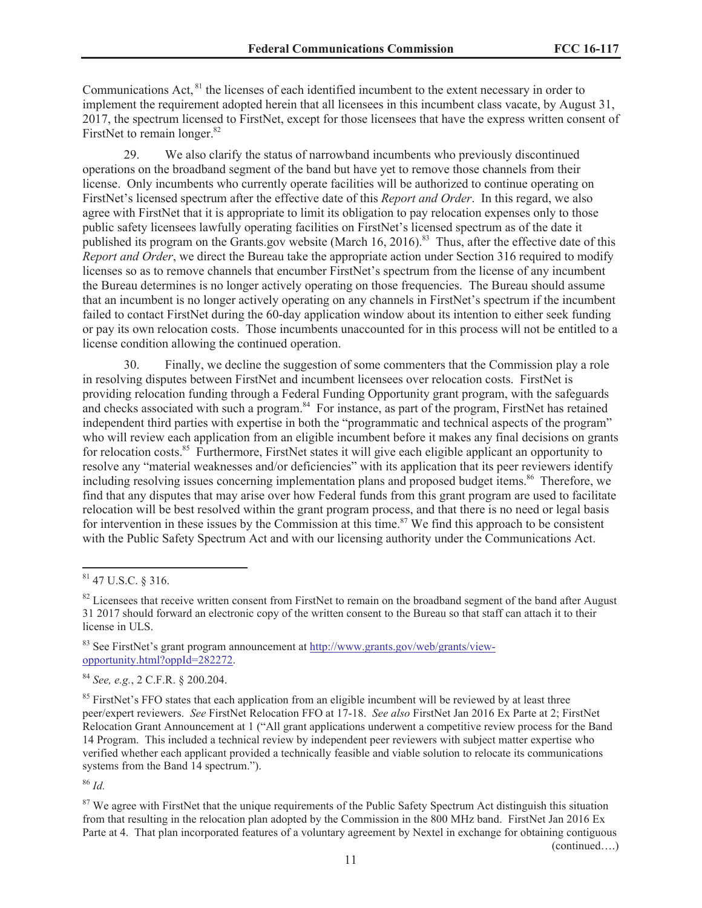Communications Act, <sup>81</sup> the licenses of each identified incumbent to the extent necessary in order to implement the requirement adopted herein that all licensees in this incumbent class vacate, by August 31, 2017, the spectrum licensed to FirstNet, except for those licensees that have the express written consent of FirstNet to remain longer.<sup>82</sup>

29. We also clarify the status of narrowband incumbents who previously discontinued operations on the broadband segment of the band but have yet to remove those channels from their license. Only incumbents who currently operate facilities will be authorized to continue operating on FirstNet's licensed spectrum after the effective date of this *Report and Order*. In this regard, we also agree with FirstNet that it is appropriate to limit its obligation to pay relocation expenses only to those public safety licensees lawfully operating facilities on FirstNet's licensed spectrum as of the date it published its program on the Grants.gov website (March 16, 2016).<sup>83</sup> Thus, after the effective date of this *Report and Order*, we direct the Bureau take the appropriate action under Section 316 required to modify licenses so as to remove channels that encumber FirstNet's spectrum from the license of any incumbent the Bureau determines is no longer actively operating on those frequencies. The Bureau should assume that an incumbent is no longer actively operating on any channels in FirstNet's spectrum if the incumbent failed to contact FirstNet during the 60-day application window about its intention to either seek funding or pay its own relocation costs. Those incumbents unaccounted for in this process will not be entitled to a license condition allowing the continued operation.

30. Finally, we decline the suggestion of some commenters that the Commission play a role in resolving disputes between FirstNet and incumbent licensees over relocation costs. FirstNet is providing relocation funding through a Federal Funding Opportunity grant program, with the safeguards and checks associated with such a program.<sup>84</sup> For instance, as part of the program, FirstNet has retained independent third parties with expertise in both the "programmatic and technical aspects of the program" who will review each application from an eligible incumbent before it makes any final decisions on grants for relocation costs.<sup>85</sup> Furthermore, FirstNet states it will give each eligible applicant an opportunity to resolve any "material weaknesses and/or deficiencies" with its application that its peer reviewers identify including resolving issues concerning implementation plans and proposed budget items.<sup>86</sup> Therefore, we find that any disputes that may arise over how Federal funds from this grant program are used to facilitate relocation will be best resolved within the grant program process, and that there is no need or legal basis for intervention in these issues by the Commission at this time.<sup>87</sup> We find this approach to be consistent with the Public Safety Spectrum Act and with our licensing authority under the Communications Act.

<sup>83</sup> See FirstNet's grant program announcement at http://www.grants.gov/web/grants/viewopportunity.html?oppId=282272.

<sup>84</sup> *See, e.g.*, 2 C.F.R. § 200.204.

<sup>85</sup> FirstNet's FFO states that each application from an eligible incumbent will be reviewed by at least three peer/expert reviewers. *See* FirstNet Relocation FFO at 17-18. *See also* FirstNet Jan 2016 Ex Parte at 2; FirstNet Relocation Grant Announcement at 1 ("All grant applications underwent a competitive review process for the Band 14 Program. This included a technical review by independent peer reviewers with subject matter expertise who verified whether each applicant provided a technically feasible and viable solution to relocate its communications systems from the Band 14 spectrum.").

<sup>86</sup> *Id.*

<sup>87</sup> We agree with FirstNet that the unique requirements of the Public Safety Spectrum Act distinguish this situation from that resulting in the relocation plan adopted by the Commission in the 800 MHz band. FirstNet Jan 2016 Ex Parte at 4. That plan incorporated features of a voluntary agreement by Nextel in exchange for obtaining contiguous (continued….)

<sup>81</sup> 47 U.S.C. § 316.

 $82$  Licensees that receive written consent from FirstNet to remain on the broadband segment of the band after August 31 2017 should forward an electronic copy of the written consent to the Bureau so that staff can attach it to their license in ULS.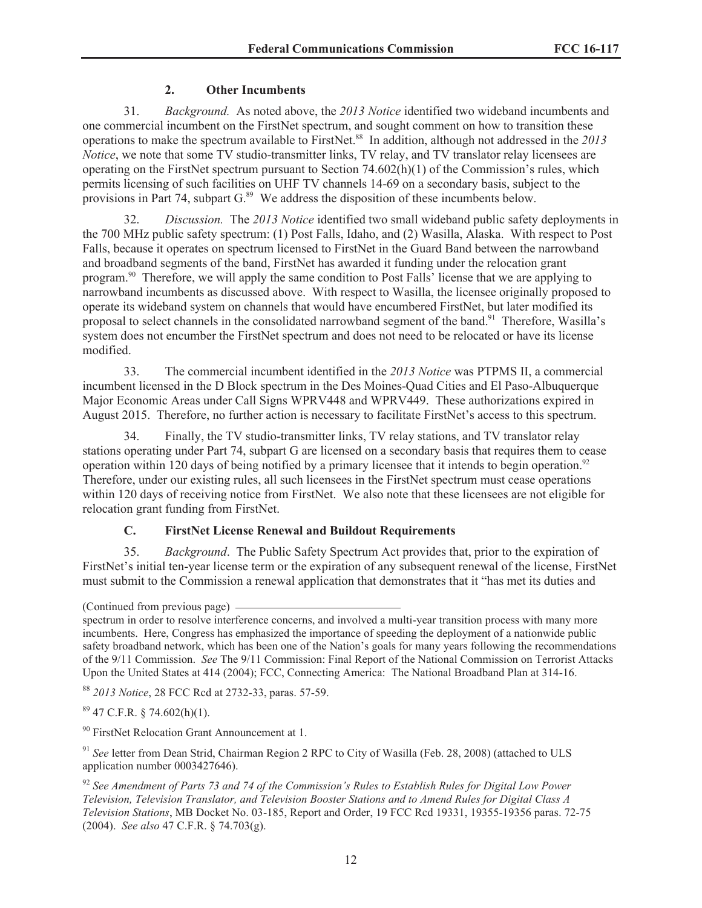# **2. Other Incumbents**

31. *Background.* As noted above, the *2013 Notice* identified two wideband incumbents and one commercial incumbent on the FirstNet spectrum, and sought comment on how to transition these operations to make the spectrum available to FirstNet.<sup>88</sup> In addition, although not addressed in the *2013 Notice*, we note that some TV studio-transmitter links, TV relay, and TV translator relay licensees are operating on the FirstNet spectrum pursuant to Section  $74.602(h)(1)$  of the Commission's rules, which permits licensing of such facilities on UHF TV channels 14-69 on a secondary basis, subject to the provisions in Part 74, subpart  $G<sup>89</sup>$  We address the disposition of these incumbents below.

32. *Discussion.* The *2013 Notice* identified two small wideband public safety deployments in the 700 MHz public safety spectrum: (1) Post Falls, Idaho, and (2) Wasilla, Alaska. With respect to Post Falls, because it operates on spectrum licensed to FirstNet in the Guard Band between the narrowband and broadband segments of the band, FirstNet has awarded it funding under the relocation grant program.<sup>90</sup> Therefore, we will apply the same condition to Post Falls' license that we are applying to narrowband incumbents as discussed above. With respect to Wasilla, the licensee originally proposed to operate its wideband system on channels that would have encumbered FirstNet, but later modified its proposal to select channels in the consolidated narrowband segment of the band.<sup>91</sup> Therefore, Wasilla's system does not encumber the FirstNet spectrum and does not need to be relocated or have its license modified.

33. The commercial incumbent identified in the *2013 Notice* was PTPMS II, a commercial incumbent licensed in the D Block spectrum in the Des Moines-Quad Cities and El Paso-Albuquerque Major Economic Areas under Call Signs WPRV448 and WPRV449. These authorizations expired in August 2015. Therefore, no further action is necessary to facilitate FirstNet's access to this spectrum.

34. Finally, the TV studio-transmitter links, TV relay stations, and TV translator relay stations operating under Part 74, subpart G are licensed on a secondary basis that requires them to cease operation within 120 days of being notified by a primary licensee that it intends to begin operation.<sup>92</sup> Therefore, under our existing rules, all such licensees in the FirstNet spectrum must cease operations within 120 days of receiving notice from FirstNet. We also note that these licensees are not eligible for relocation grant funding from FirstNet.

# **C. FirstNet License Renewal and Buildout Requirements**

35. *Background*. The Public Safety Spectrum Act provides that, prior to the expiration of FirstNet's initial ten-year license term or the expiration of any subsequent renewal of the license, FirstNet must submit to the Commission a renewal application that demonstrates that it "has met its duties and

<sup>88</sup> *2013 Notice*, 28 FCC Rcd at 2732-33, paras. 57-59.

 $89$  47 C.F.R. § 74.602(h)(1).

<sup>90</sup> FirstNet Relocation Grant Announcement at 1.

<sup>91</sup> See letter from Dean Strid, Chairman Region 2 RPC to City of Wasilla (Feb. 28, 2008) (attached to ULS application number 0003427646).

<sup>92</sup> *See Amendment of Parts 73 and 74 of the Commission's Rules to Establish Rules for Digital Low Power Television, Television Translator, and Television Booster Stations and to Amend Rules for Digital Class A Television Stations*, MB Docket No. 03-185, Report and Order, 19 FCC Rcd 19331, 19355-19356 paras. 72-75 (2004). *See also* 47 C.F.R. § 74.703(g).

<sup>(</sup>Continued from previous page)

spectrum in order to resolve interference concerns, and involved a multi-year transition process with many more incumbents. Here, Congress has emphasized the importance of speeding the deployment of a nationwide public safety broadband network, which has been one of the Nation's goals for many years following the recommendations of the 9/11 Commission. *See* The 9/11 Commission: Final Report of the National Commission on Terrorist Attacks Upon the United States at 414 (2004); FCC, Connecting America: The National Broadband Plan at 314-16.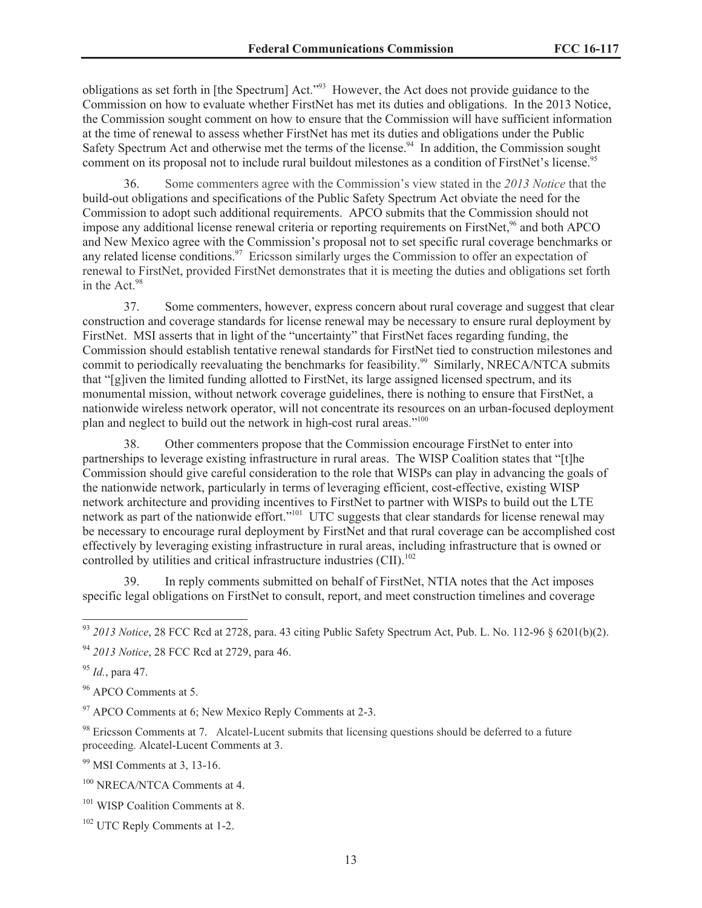obligations as set forth in [the Spectrum] Act."<sup>93</sup> However, the Act does not provide guidance to the Commission on how to evaluate whether FirstNet has met its duties and obligations. In the 2013 Notice, the Commission sought comment on how to ensure that the Commission will have sufficient information at the time of renewal to assess whether FirstNet has met its duties and obligations under the Public Safety Spectrum Act and otherwise met the terms of the license.<sup>94</sup> In addition, the Commission sought comment on its proposal not to include rural buildout milestones as a condition of FirstNet's license.<sup>95</sup>

36. Some commenters agree with the Commission's view stated in the *2013 Notice* that the build-out obligations and specifications of the Public Safety Spectrum Act obviate the need for the Commission to adopt such additional requirements. APCO submits that the Commission should not impose any additional license renewal criteria or reporting requirements on FirstNet,<sup>96</sup> and both APCO and New Mexico agree with the Commission's proposal not to set specific rural coverage benchmarks or any related license conditions.<sup>97</sup> Ericsson similarly urges the Commission to offer an expectation of renewal to FirstNet, provided FirstNet demonstrates that it is meeting the duties and obligations set forth in the Act.<sup>98</sup>

37. Some commenters, however, express concern about rural coverage and suggest that clear construction and coverage standards for license renewal may be necessary to ensure rural deployment by FirstNet. MSI asserts that in light of the "uncertainty" that FirstNet faces regarding funding, the Commission should establish tentative renewal standards for FirstNet tied to construction milestones and commit to periodically reevaluating the benchmarks for feasibility.<sup>99</sup> Similarly, NRECA/NTCA submits that "[g]iven the limited funding allotted to FirstNet, its large assigned licensed spectrum, and its monumental mission, without network coverage guidelines, there is nothing to ensure that FirstNet, a nationwide wireless network operator, will not concentrate its resources on an urban-focused deployment plan and neglect to build out the network in high-cost rural areas."<sup>100</sup>

38. Other commenters propose that the Commission encourage FirstNet to enter into partnerships to leverage existing infrastructure in rural areas. The WISP Coalition states that "[t]he Commission should give careful consideration to the role that WISPs can play in advancing the goals of the nationwide network, particularly in terms of leveraging efficient, cost-effective, existing WISP network architecture and providing incentives to FirstNet to partner with WISPs to build out the LTE network as part of the nationwide effort."<sup>101</sup> UTC suggests that clear standards for license renewal may be necessary to encourage rural deployment by FirstNet and that rural coverage can be accomplished cost effectively by leveraging existing infrastructure in rural areas, including infrastructure that is owned or controlled by utilities and critical infrastructure industries  $\rm (CII)$ <sup>102</sup>

39. In reply comments submitted on behalf of FirstNet, NTIA notes that the Act imposes specific legal obligations on FirstNet to consult, report, and meet construction timelines and coverage

<sup>96</sup> APCO Comments at 5.

 $97$  APCO Comments at 6; New Mexico Reply Comments at 2-3.

<sup>98</sup> Ericsson Comments at 7. Alcatel-Lucent submits that licensing questions should be deferred to a future proceeding. Alcatel-Lucent Comments at 3.

<sup>99</sup> MSI Comments at 3, 13-16.

<sup>93</sup> *2013 Notice*, 28 FCC Rcd at 2728, para. 43 citing Public Safety Spectrum Act, Pub. L. No. 112-96 § 6201(b)(2).

<sup>94</sup> *2013 Notice*, 28 FCC Rcd at 2729, para 46.

<sup>95</sup> *Id.*, para 47.

<sup>100</sup> NRECA/NTCA Comments at 4.

<sup>&</sup>lt;sup>101</sup> WISP Coalition Comments at 8.

<sup>102</sup> UTC Reply Comments at 1-2.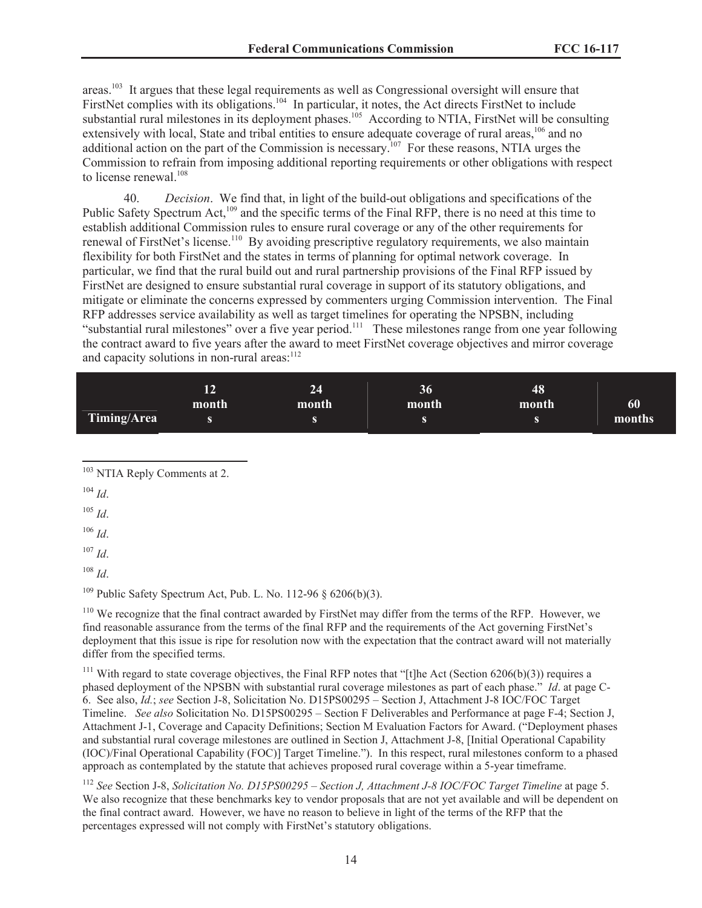areas.<sup>103</sup> It argues that these legal requirements as well as Congressional oversight will ensure that FirstNet complies with its obligations.<sup>104</sup> In particular, it notes, the Act directs FirstNet to include substantial rural milestones in its deployment phases.<sup>105</sup> According to NTIA, FirstNet will be consulting extensively with local, State and tribal entities to ensure adequate coverage of rural areas,<sup>106</sup> and no additional action on the part of the Commission is necessary.<sup>107</sup> For these reasons, NTIA urges the Commission to refrain from imposing additional reporting requirements or other obligations with respect to license renewal.<sup>108</sup>

40. *Decision*. We find that, in light of the build-out obligations and specifications of the Public Safety Spectrum Act,<sup>109</sup> and the specific terms of the Final RFP, there is no need at this time to establish additional Commission rules to ensure rural coverage or any of the other requirements for renewal of FirstNet's license.<sup>110</sup> By avoiding prescriptive regulatory requirements, we also maintain flexibility for both FirstNet and the states in terms of planning for optimal network coverage. In particular, we find that the rural build out and rural partnership provisions of the Final RFP issued by FirstNet are designed to ensure substantial rural coverage in support of its statutory obligations, and mitigate or eliminate the concerns expressed by commenters urging Commission intervention. The Final RFP addresses service availability as well as target timelines for operating the NPSBN, including "substantial rural milestones" over a five year period.<sup>111</sup> These milestones range from one year following the contract award to five years after the award to meet FirstNet coverage objectives and mirror coverage and capacity solutions in non-rural areas:<sup>112</sup>

|             | 12<br>month | 24<br>month | 36<br>month | 48<br>month | 60     |
|-------------|-------------|-------------|-------------|-------------|--------|
| Timing/Area |             |             |             |             | months |

<sup>103</sup> NTIA Reply Comments at 2.

<sup>104</sup> *Id*.

<sup>105</sup> *Id*.

<sup>106</sup> *Id*.

<sup>107</sup> *Id*.

<sup>108</sup> *Id*.

<sup>109</sup> Public Safety Spectrum Act, Pub. L. No. 112-96  $\delta$  6206(b)(3).

<sup>110</sup> We recognize that the final contract awarded by FirstNet may differ from the terms of the RFP. However, we find reasonable assurance from the terms of the final RFP and the requirements of the Act governing FirstNet's deployment that this issue is ripe for resolution now with the expectation that the contract award will not materially differ from the specified terms.

<sup>111</sup> With regard to state coverage objectives, the Final RFP notes that "[t]he Act (Section 6206(b)(3)) requires a phased deployment of the NPSBN with substantial rural coverage milestones as part of each phase." *Id*. at page C-6. See also, *Id.*; *see* Section J-8, Solicitation No. D15PS00295 – Section J, Attachment J-8 IOC/FOC Target Timeline. *See also* Solicitation No. D15PS00295 – Section F Deliverables and Performance at page F-4; Section J, Attachment J-1, Coverage and Capacity Definitions; Section M Evaluation Factors for Award. ("Deployment phases and substantial rural coverage milestones are outlined in Section J, Attachment J-8, [Initial Operational Capability (IOC)/Final Operational Capability (FOC)] Target Timeline."). In this respect, rural milestones conform to a phased approach as contemplated by the statute that achieves proposed rural coverage within a 5-year timeframe.

<sup>112</sup> *See* Section J-8, *Solicitation No. D15PS00295 – Section J, Attachment J-8 IOC/FOC Target Timeline* at page 5. We also recognize that these benchmarks key to vendor proposals that are not yet available and will be dependent on the final contract award. However, we have no reason to believe in light of the terms of the RFP that the percentages expressed will not comply with FirstNet's statutory obligations.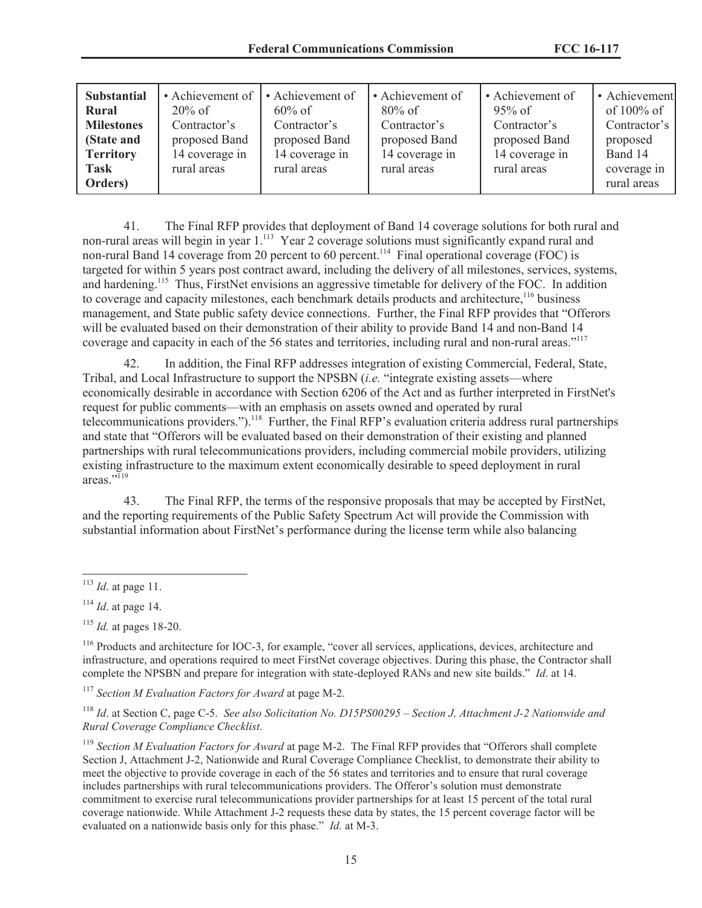| <b>Substantial</b>                                           | • Achievement of                                             | • Achievement of                                             | • Achievement of                                             | • Achievement of                                             | • Achievement                                        |
|--------------------------------------------------------------|--------------------------------------------------------------|--------------------------------------------------------------|--------------------------------------------------------------|--------------------------------------------------------------|------------------------------------------------------|
| Rural<br><b>Milestones</b><br>(State and<br><b>Territory</b> | $20\%$ of<br>Contractor's<br>proposed Band<br>14 coverage in | $60\%$ of<br>Contractor's<br>proposed Band<br>14 coverage in | $80\%$ of<br>Contractor's<br>proposed Band<br>14 coverage in | $95\%$ of<br>Contractor's<br>proposed Band<br>14 coverage in | of $100\%$ of<br>Contractor's<br>proposed<br>Band 14 |
| <b>Task</b><br>Orders)                                       | rural areas                                                  | rural areas                                                  | rural areas                                                  | rural areas                                                  | coverage in<br>rural areas                           |

41. The Final RFP provides that deployment of Band 14 coverage solutions for both rural and non-rural areas will begin in year 1.<sup>113</sup> Year 2 coverage solutions must significantly expand rural and non-rural Band 14 coverage from 20 percent to 60 percent.<sup>114</sup> Final operational coverage (FOC) is targeted for within 5 years post contract award, including the delivery of all milestones, services, systems, and hardening.<sup>115</sup> Thus, FirstNet envisions an aggressive timetable for delivery of the FOC. In addition to coverage and capacity milestones, each benchmark details products and architecture,<sup>116</sup> business management, and State public safety device connections. Further, the Final RFP provides that "Offerors will be evaluated based on their demonstration of their ability to provide Band 14 and non-Band 14 coverage and capacity in each of the 56 states and territories, including rural and non-rural areas."<sup>117</sup>

42. In addition, the Final RFP addresses integration of existing Commercial, Federal, State, Tribal, and Local Infrastructure to support the NPSBN (*i.e.* "integrate existing assets—where economically desirable in accordance with Section 6206 of the Act and as further interpreted in FirstNet's request for public comments—with an emphasis on assets owned and operated by rural telecommunications providers.").<sup>118</sup> Further, the Final RFP's evaluation criteria address rural partnerships and state that "Offerors will be evaluated based on their demonstration of their existing and planned partnerships with rural telecommunications providers, including commercial mobile providers, utilizing existing infrastructure to the maximum extent economically desirable to speed deployment in rural areas."<sup>119</sup>

43. The Final RFP, the terms of the responsive proposals that may be accepted by FirstNet, and the reporting requirements of the Public Safety Spectrum Act will provide the Commission with substantial information about FirstNet's performance during the license term while also balancing

<sup>117</sup> *Section M Evaluation Factors for Award* at page M-2.

<sup>118</sup> *Id*. at Section C, page C-5. *See also Solicitation No. D15PS00295 – Section J, Attachment J-2 Nationwide and Rural Coverage Compliance Checklist*.

<sup>119</sup> Section M Evaluation Factors for Award at page M-2. The Final RFP provides that "Offerors shall complete" Section J, Attachment J-2, Nationwide and Rural Coverage Compliance Checklist, to demonstrate their ability to meet the objective to provide coverage in each of the 56 states and territories and to ensure that rural coverage includes partnerships with rural telecommunications providers. The Offeror's solution must demonstrate commitment to exercise rural telecommunications provider partnerships for at least 15 percent of the total rural coverage nationwide. While Attachment J-2 requests these data by states, the 15 percent coverage factor will be evaluated on a nationwide basis only for this phase." *Id.* at M-3.

<sup>113</sup> *Id*. at page 11.

<sup>114</sup> *Id*. at page 14.

<sup>115</sup> *Id.* at pages 18-20.

<sup>&</sup>lt;sup>116</sup> Products and architecture for IOC-3, for example, "cover all services, applications, devices, architecture and infrastructure, and operations required to meet FirstNet coverage objectives. During this phase, the Contractor shall complete the NPSBN and prepare for integration with state-deployed RANs and new site builds." *Id*. at 14.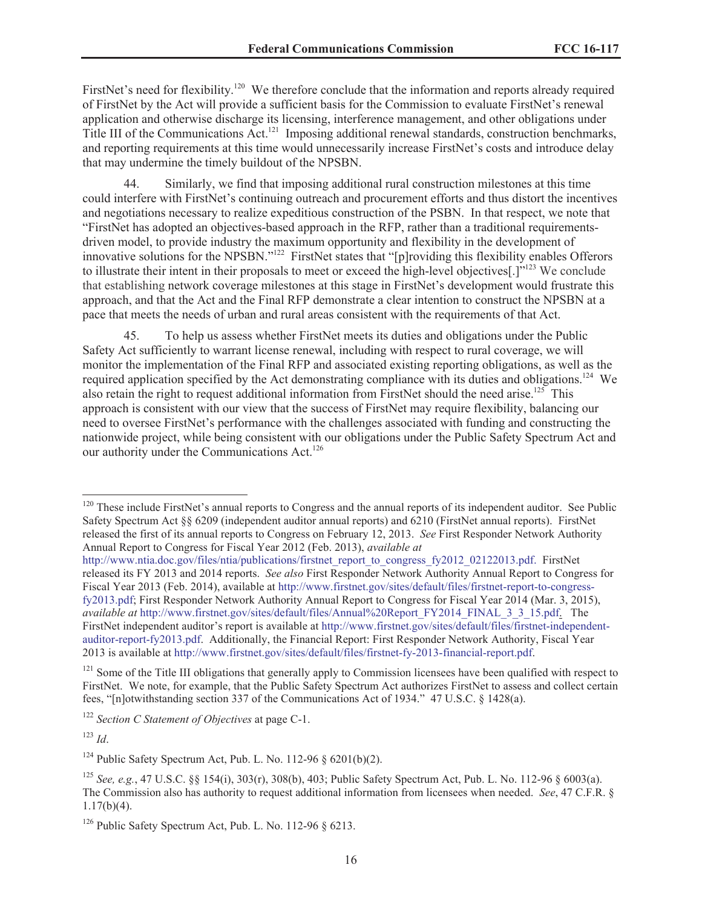FirstNet's need for flexibility.<sup>120</sup> We therefore conclude that the information and reports already required of FirstNet by the Act will provide a sufficient basis for the Commission to evaluate FirstNet's renewal application and otherwise discharge its licensing, interference management, and other obligations under Title III of the Communications Act.<sup>121</sup> Imposing additional renewal standards, construction benchmarks, and reporting requirements at this time would unnecessarily increase FirstNet's costs and introduce delay that may undermine the timely buildout of the NPSBN.

44. Similarly, we find that imposing additional rural construction milestones at this time could interfere with FirstNet's continuing outreach and procurement efforts and thus distort the incentives and negotiations necessary to realize expeditious construction of the PSBN. In that respect, we note that "FirstNet has adopted an objectives-based approach in the RFP, rather than a traditional requirementsdriven model, to provide industry the maximum opportunity and flexibility in the development of innovative solutions for the NPSBN."<sup>122</sup> FirstNet states that "[p]roviding this flexibility enables Offerors to illustrate their intent in their proposals to meet or exceed the high-level objectives[.]"<sup>123</sup> We conclude that establishing network coverage milestones at this stage in FirstNet's development would frustrate this approach, and that the Act and the Final RFP demonstrate a clear intention to construct the NPSBN at a pace that meets the needs of urban and rural areas consistent with the requirements of that Act.

45. To help us assess whether FirstNet meets its duties and obligations under the Public Safety Act sufficiently to warrant license renewal, including with respect to rural coverage, we will monitor the implementation of the Final RFP and associated existing reporting obligations, as well as the required application specified by the Act demonstrating compliance with its duties and obligations.<sup>124</sup> We also retain the right to request additional information from FirstNet should the need arise.<sup>125</sup> This approach is consistent with our view that the success of FirstNet may require flexibility, balancing our need to oversee FirstNet's performance with the challenges associated with funding and constructing the nationwide project, while being consistent with our obligations under the Public Safety Spectrum Act and our authority under the Communications Act.<sup>126</sup>

<sup>123</sup> *Id*.

<sup>&</sup>lt;sup>120</sup> These include FirstNet's annual reports to Congress and the annual reports of its independent auditor. See Public Safety Spectrum Act §§ 6209 (independent auditor annual reports) and 6210 (FirstNet annual reports). FirstNet released the first of its annual reports to Congress on February 12, 2013. *See* First Responder Network Authority Annual Report to Congress for Fiscal Year 2012 (Feb. 2013), *available at*

http://www.ntia.doc.gov/files/ntia/publications/firstnet\_report\_to\_congress\_fy2012\_02122013.pdf. FirstNet released its FY 2013 and 2014 reports. *See also* First Responder Network Authority Annual Report to Congress for Fiscal Year 2013 (Feb. 2014), available at http://www.firstnet.gov/sites/default/files/firstnet-report-to-congressfy2013.pdf; First Responder Network Authority Annual Report to Congress for Fiscal Year 2014 (Mar. 3, 2015), *available at* http://www.firstnet.gov/sites/default/files/Annual%20Report\_FY2014\_FINAL\_3\_3\_15.pdf. The FirstNet independent auditor's report is available at http://www.firstnet.gov/sites/default/files/firstnet-independentauditor-report-fy2013.pdf. Additionally, the Financial Report: First Responder Network Authority, Fiscal Year 2013 is available at http://www.firstnet.gov/sites/default/files/firstnet-fy-2013-financial-report.pdf.

 $121$  Some of the Title III obligations that generally apply to Commission licensees have been qualified with respect to FirstNet. We note, for example, that the Public Safety Spectrum Act authorizes FirstNet to assess and collect certain fees, "[n]otwithstanding section 337 of the Communications Act of 1934." 47 U.S.C. § 1428(a).

<sup>122</sup> *Section C Statement of Objectives* at page C-1.

<sup>&</sup>lt;sup>124</sup> Public Safety Spectrum Act, Pub. L. No. 112-96  $\delta$  6201(b)(2).

<sup>125</sup> *See, e.g.*, 47 U.S.C. §§ 154(i), 303(r), 308(b), 403; Public Safety Spectrum Act, Pub. L. No. 112-96 § 6003(a). The Commission also has authority to request additional information from licensees when needed. *See*, 47 C.F.R. § 1.17(b)(4).

<sup>&</sup>lt;sup>126</sup> Public Safety Spectrum Act, Pub. L. No. 112-96  $\S$  6213.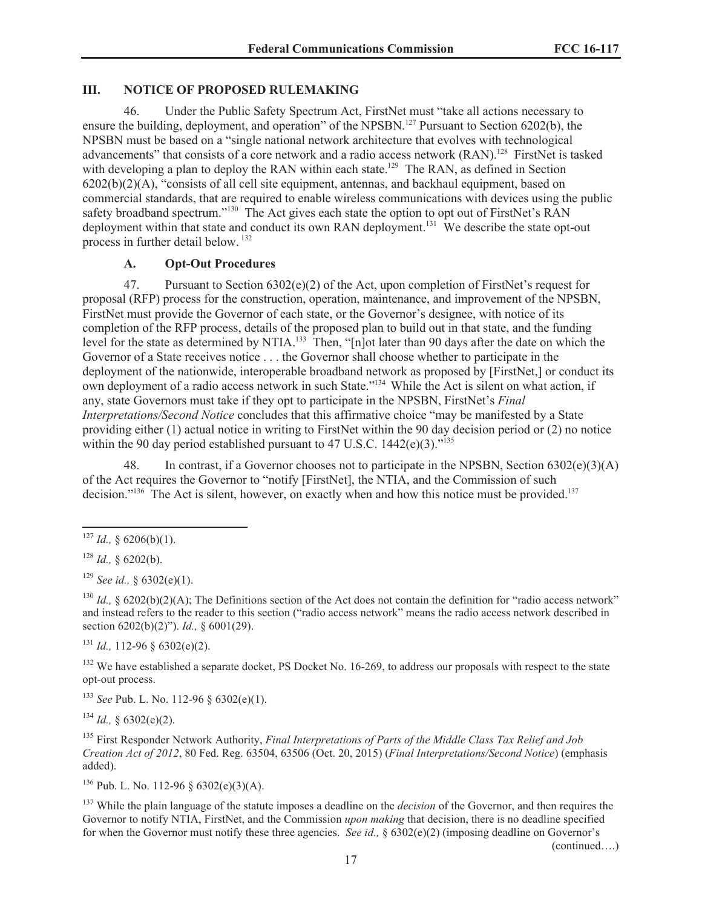## **III. NOTICE OF PROPOSED RULEMAKING**

46. Under the Public Safety Spectrum Act, FirstNet must "take all actions necessary to ensure the building, deployment, and operation" of the NPSBN.<sup>127</sup> Pursuant to Section 6202(b), the NPSBN must be based on a "single national network architecture that evolves with technological advancements" that consists of a core network and a radio access network (RAN).<sup>128</sup> FirstNet is tasked with developing a plan to deploy the RAN within each state.<sup>129</sup> The RAN, as defined in Section  $6202(b)(2)(A)$ , "consists of all cell site equipment, antennas, and backhaul equipment, based on commercial standards, that are required to enable wireless communications with devices using the public safety broadband spectrum."<sup>130</sup> The Act gives each state the option to opt out of FirstNet's RAN deployment within that state and conduct its own RAN deployment.<sup>131</sup> We describe the state opt-out process in further detail below. <sup>132</sup>

# **A. Opt-Out Procedures**

47. Pursuant to Section  $6302(e)(2)$  of the Act, upon completion of FirstNet's request for proposal (RFP) process for the construction, operation, maintenance, and improvement of the NPSBN, FirstNet must provide the Governor of each state, or the Governor's designee, with notice of its completion of the RFP process, details of the proposed plan to build out in that state, and the funding level for the state as determined by NTIA.<sup>133</sup> Then, "[n]ot later than 90 days after the date on which the Governor of a State receives notice . . . the Governor shall choose whether to participate in the deployment of the nationwide, interoperable broadband network as proposed by [FirstNet,] or conduct its own deployment of a radio access network in such State."<sup>134</sup> While the Act is silent on what action, if any, state Governors must take if they opt to participate in the NPSBN, FirstNet's *Final Interpretations/Second Notice* concludes that this affirmative choice "may be manifested by a State providing either (1) actual notice in writing to FirstNet within the 90 day decision period or (2) no notice within the 90 day period established pursuant to 47 U.S.C.  $1442(e)(3)$ .<sup> $135$ </sup>

48. In contrast, if a Governor chooses not to participate in the NPSBN, Section 6302(e)(3)(A) of the Act requires the Governor to "notify [FirstNet], the NTIA, and the Commission of such decision."<sup>136</sup> The Act is silent, however, on exactly when and how this notice must be provided.<sup>137</sup>

<sup>130</sup> *Id.*, § 6202(b)(2)(A); The Definitions section of the Act does not contain the definition for "radio access network" and instead refers to the reader to this section ("radio access network" means the radio access network described in section 6202(b)(2)"). *Id.,* § 6001(29).

 $131$  *Id.,* 112-96 § 6302(e)(2).

 $132$  We have established a separate docket. PS Docket No. 16-269, to address our proposals with respect to the state opt-out process.

<sup>133</sup> *See* Pub. L. No. 112-96 § 6302(e)(1).

 $^{134}$  *Id.*, § 6302(e)(2).

<sup>135</sup> First Responder Network Authority, *Final Interpretations of Parts of the Middle Class Tax Relief and Job Creation Act of 2012*, 80 Fed. Reg. 63504, 63506 (Oct. 20, 2015) (*Final Interpretations/Second Notice*) (emphasis added).

<sup>136</sup> Pub. L. No. 112-96 § 6302(e)(3)(A).

<sup>137</sup> While the plain language of the statute imposes a deadline on the *decision* of the Governor, and then requires the Governor to notify NTIA, FirstNet, and the Commission *upon making* that decision, there is no deadline specified for when the Governor must notify these three agencies. *See id.*, § 6302(e)(2) (imposing deadline on Governor's

(continued….)

<sup>&</sup>lt;sup>127</sup> *Id.*, § 6206(b)(1).

 $128$  *Id.*, § 6202(b).

<sup>129</sup> *See id.,* § 6302(e)(1).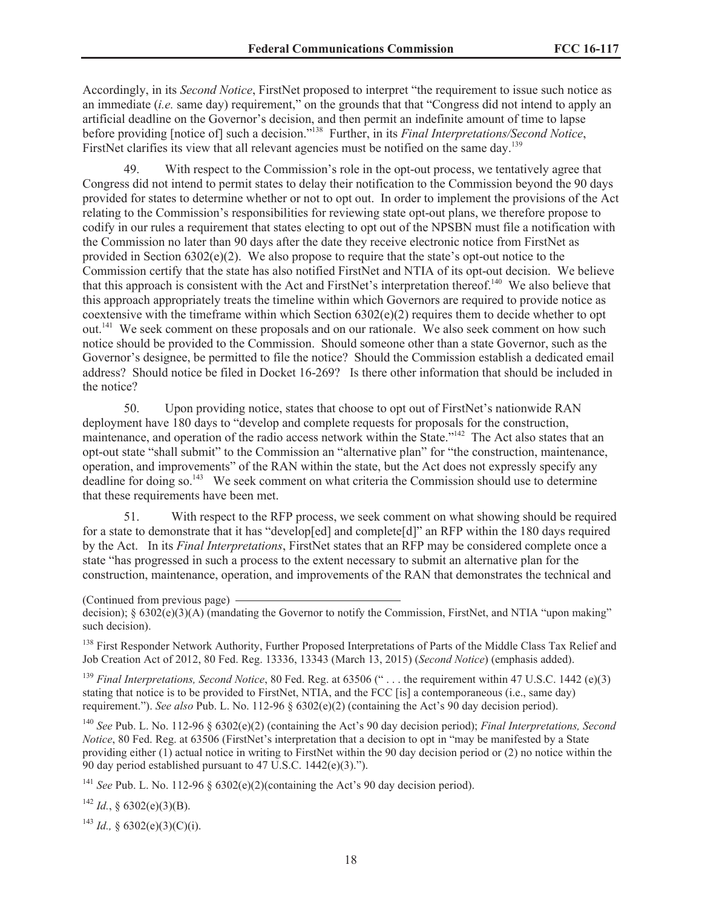Accordingly, in its *Second Notice*, FirstNet proposed to interpret "the requirement to issue such notice as an immediate (*i.e.* same day) requirement," on the grounds that that "Congress did not intend to apply an artificial deadline on the Governor's decision, and then permit an indefinite amount of time to lapse before providing [notice of] such a decision."<sup>138</sup> Further, in its *Final Interpretations/Second Notice*, FirstNet clarifies its view that all relevant agencies must be notified on the same day.<sup>139</sup>

With respect to the Commission's role in the opt-out process, we tentatively agree that Congress did not intend to permit states to delay their notification to the Commission beyond the 90 days provided for states to determine whether or not to opt out. In order to implement the provisions of the Act relating to the Commission's responsibilities for reviewing state opt-out plans, we therefore propose to codify in our rules a requirement that states electing to opt out of the NPSBN must file a notification with the Commission no later than 90 days after the date they receive electronic notice from FirstNet as provided in Section  $6302(e)(2)$ . We also propose to require that the state's opt-out notice to the Commission certify that the state has also notified FirstNet and NTIA of its opt-out decision. We believe that this approach is consistent with the Act and FirstNet's interpretation thereof.<sup>140</sup> We also believe that this approach appropriately treats the timeline within which Governors are required to provide notice as coextensive with the timeframe within which Section 6302(e)(2) requires them to decide whether to opt out.<sup>141</sup> We seek comment on these proposals and on our rationale. We also seek comment on how such notice should be provided to the Commission. Should someone other than a state Governor, such as the Governor's designee, be permitted to file the notice? Should the Commission establish a dedicated email address? Should notice be filed in Docket 16-269? Is there other information that should be included in the notice?

50. Upon providing notice, states that choose to opt out of FirstNet's nationwide RAN deployment have 180 days to "develop and complete requests for proposals for the construction, maintenance, and operation of the radio access network within the State."<sup>142</sup> The Act also states that an opt-out state "shall submit" to the Commission an "alternative plan" for "the construction, maintenance, operation, and improvements" of the RAN within the state, but the Act does not expressly specify any deadline for doing so.<sup>143</sup> We seek comment on what criteria the Commission should use to determine that these requirements have been met.

51. With respect to the RFP process, we seek comment on what showing should be required for a state to demonstrate that it has "develop[ed] and complete[d]" an RFP within the 180 days required by the Act. In its *Final Interpretations*, FirstNet states that an RFP may be considered complete once a state "has progressed in such a process to the extent necessary to submit an alternative plan for the construction, maintenance, operation, and improvements of the RAN that demonstrates the technical and

<sup>138</sup> First Responder Network Authority, Further Proposed Interpretations of Parts of the Middle Class Tax Relief and Job Creation Act of 2012, 80 Fed. Reg. 13336, 13343 (March 13, 2015) (*Second Notice*) (emphasis added).

<sup>139</sup> Final Interpretations, Second Notice, 80 Fed. Reg. at 63506 (" . . . the requirement within 47 U.S.C. 1442 (e)(3) stating that notice is to be provided to FirstNet, NTIA, and the FCC [is] a contemporaneous (i.e., same day) requirement."). *See also* Pub. L. No. 112-96 § 6302(e)(2) (containing the Act's 90 day decision period).

<sup>140</sup> *See* Pub. L. No. 112-96 § 6302(e)(2) (containing the Act's 90 day decision period); *Final Interpretations, Second Notice*, 80 Fed. Reg. at 63506 (FirstNet's interpretation that a decision to opt in "may be manifested by a State providing either (1) actual notice in writing to FirstNet within the 90 day decision period or (2) no notice within the 90 day period established pursuant to 47 U.S.C. 1442(e)(3).").

<sup>141</sup> *See Pub. L. No.* 112-96  $\S$  6302(e)(2)(containing the Act's 90 day decision period).

<sup>142</sup> *Id.*, § 6302(e)(3)(B).

<sup>143</sup> *Id.*, § 6302(e)(3)(C)(i).

<sup>(</sup>Continued from previous page)

decision); § 6302(e)(3)(A) (mandating the Governor to notify the Commission, FirstNet, and NTIA "upon making" such decision).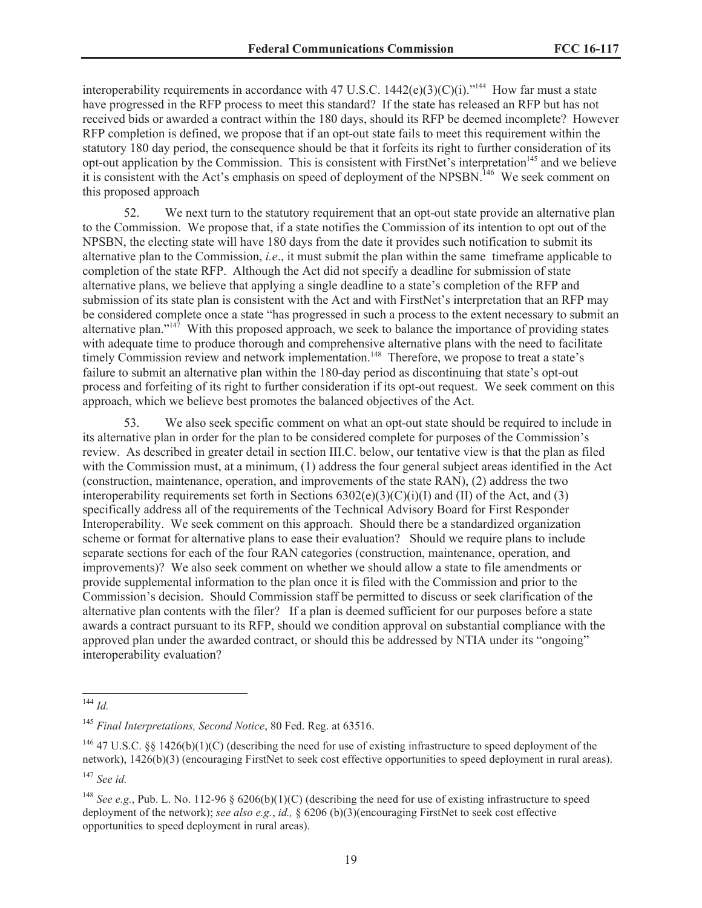interoperability requirements in accordance with 47 U.S.C.  $1442(e)(3)(C)(i)$ ."<sup>144</sup> How far must a state have progressed in the RFP process to meet this standard? If the state has released an RFP but has not received bids or awarded a contract within the 180 days, should its RFP be deemed incomplete? However RFP completion is defined, we propose that if an opt-out state fails to meet this requirement within the statutory 180 day period, the consequence should be that it forfeits its right to further consideration of its opt-out application by the Commission. This is consistent with FirstNet's interpretation<sup>145</sup> and we believe it is consistent with the Act's emphasis on speed of deployment of the NPSBN.<sup>146</sup> We seek comment on this proposed approach

52. We next turn to the statutory requirement that an opt-out state provide an alternative plan to the Commission. We propose that, if a state notifies the Commission of its intention to opt out of the NPSBN, the electing state will have 180 days from the date it provides such notification to submit its alternative plan to the Commission, *i.e*., it must submit the plan within the same timeframe applicable to completion of the state RFP. Although the Act did not specify a deadline for submission of state alternative plans, we believe that applying a single deadline to a state's completion of the RFP and submission of its state plan is consistent with the Act and with FirstNet's interpretation that an RFP may be considered complete once a state "has progressed in such a process to the extent necessary to submit an alternative plan." $147$  With this proposed approach, we seek to balance the importance of providing states with adequate time to produce thorough and comprehensive alternative plans with the need to facilitate timely Commission review and network implementation.<sup>148</sup> Therefore, we propose to treat a state's failure to submit an alternative plan within the 180-day period as discontinuing that state's opt-out process and forfeiting of its right to further consideration if its opt-out request. We seek comment on this approach, which we believe best promotes the balanced objectives of the Act.

53. We also seek specific comment on what an opt-out state should be required to include in its alternative plan in order for the plan to be considered complete for purposes of the Commission's review. As described in greater detail in section III.C. below, our tentative view is that the plan as filed with the Commission must, at a minimum, (1) address the four general subject areas identified in the Act (construction, maintenance, operation, and improvements of the state RAN), (2) address the two interoperability requirements set forth in Sections  $6302(e)(3)(C)(i)(I)$  and (II) of the Act, and (3) specifically address all of the requirements of the Technical Advisory Board for First Responder Interoperability. We seek comment on this approach. Should there be a standardized organization scheme or format for alternative plans to ease their evaluation? Should we require plans to include separate sections for each of the four RAN categories (construction, maintenance, operation, and improvements)? We also seek comment on whether we should allow a state to file amendments or provide supplemental information to the plan once it is filed with the Commission and prior to the Commission's decision. Should Commission staff be permitted to discuss or seek clarification of the alternative plan contents with the filer? If a plan is deemed sufficient for our purposes before a state awards a contract pursuant to its RFP, should we condition approval on substantial compliance with the approved plan under the awarded contract, or should this be addressed by NTIA under its "ongoing" interoperability evaluation?

<sup>144</sup> *Id.*

<sup>145</sup> *Final Interpretations, Second Notice*, 80 Fed. Reg. at 63516.

<sup>&</sup>lt;sup>146</sup> 47 U.S.C. §§ 1426(b)(1)(C) (describing the need for use of existing infrastructure to speed deployment of the network), 1426(b)(3) (encouraging FirstNet to seek cost effective opportunities to speed deployment in rural areas).

<sup>147</sup> *See id.*

<sup>&</sup>lt;sup>148</sup> *See e.g.*, Pub. L. No. 112-96  $\S$  6206(b)(1)(C) (describing the need for use of existing infrastructure to speed deployment of the network); *see also e.g.*, *id.,* § 6206 (b)(3)(encouraging FirstNet to seek cost effective opportunities to speed deployment in rural areas).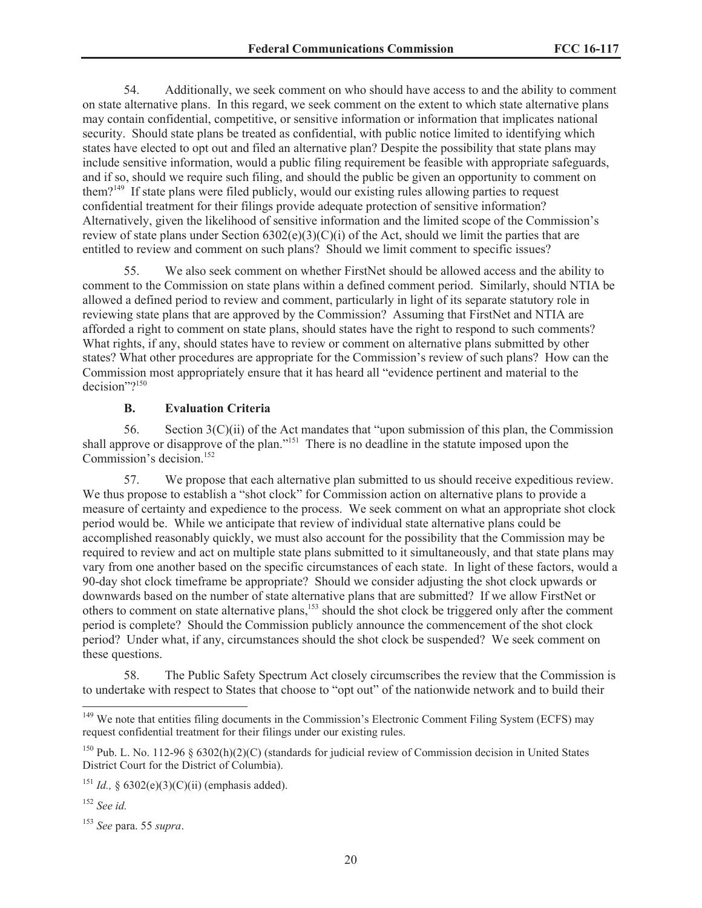54. Additionally, we seek comment on who should have access to and the ability to comment on state alternative plans. In this regard, we seek comment on the extent to which state alternative plans may contain confidential, competitive, or sensitive information or information that implicates national security. Should state plans be treated as confidential, with public notice limited to identifying which states have elected to opt out and filed an alternative plan? Despite the possibility that state plans may include sensitive information, would a public filing requirement be feasible with appropriate safeguards, and if so, should we require such filing, and should the public be given an opportunity to comment on them?<sup>149</sup> If state plans were filed publicly, would our existing rules allowing parties to request confidential treatment for their filings provide adequate protection of sensitive information? Alternatively, given the likelihood of sensitive information and the limited scope of the Commission's review of state plans under Section  $6302(e)(3)(C)(i)$  of the Act, should we limit the parties that are entitled to review and comment on such plans? Should we limit comment to specific issues?

55. We also seek comment on whether FirstNet should be allowed access and the ability to comment to the Commission on state plans within a defined comment period. Similarly, should NTIA be allowed a defined period to review and comment, particularly in light of its separate statutory role in reviewing state plans that are approved by the Commission? Assuming that FirstNet and NTIA are afforded a right to comment on state plans, should states have the right to respond to such comments? What rights, if any, should states have to review or comment on alternative plans submitted by other states? What other procedures are appropriate for the Commission's review of such plans? How can the Commission most appropriately ensure that it has heard all "evidence pertinent and material to the decision"?<sup>150</sup>

### **B. Evaluation Criteria**

56. Section 3(C)(ii) of the Act mandates that "upon submission of this plan, the Commission shall approve or disapprove of the plan."<sup>151</sup> There is no deadline in the statute imposed upon the Commission's decision.<sup>152</sup>

57. We propose that each alternative plan submitted to us should receive expeditious review. We thus propose to establish a "shot clock" for Commission action on alternative plans to provide a measure of certainty and expedience to the process. We seek comment on what an appropriate shot clock period would be. While we anticipate that review of individual state alternative plans could be accomplished reasonably quickly, we must also account for the possibility that the Commission may be required to review and act on multiple state plans submitted to it simultaneously, and that state plans may vary from one another based on the specific circumstances of each state. In light of these factors, would a 90-day shot clock timeframe be appropriate? Should we consider adjusting the shot clock upwards or downwards based on the number of state alternative plans that are submitted? If we allow FirstNet or others to comment on state alternative plans,<sup>153</sup> should the shot clock be triggered only after the comment period is complete? Should the Commission publicly announce the commencement of the shot clock period? Under what, if any, circumstances should the shot clock be suspended? We seek comment on these questions.

58. The Public Safety Spectrum Act closely circumscribes the review that the Commission is to undertake with respect to States that choose to "opt out" of the nationwide network and to build their

<sup>&</sup>lt;sup>149</sup> We note that entities filing documents in the Commission's Electronic Comment Filing System (ECFS) may request confidential treatment for their filings under our existing rules.

<sup>&</sup>lt;sup>150</sup> Pub. L. No. 112-96  $\frac{120}{96}$  (standards for judicial review of Commission decision in United States District Court for the District of Columbia).

<sup>&</sup>lt;sup>151</sup> *Id.*, § 6302(e)(3)(C)(ii) (emphasis added).

<sup>152</sup> *See id.*

<sup>153</sup> *See* para. 55 *supra*.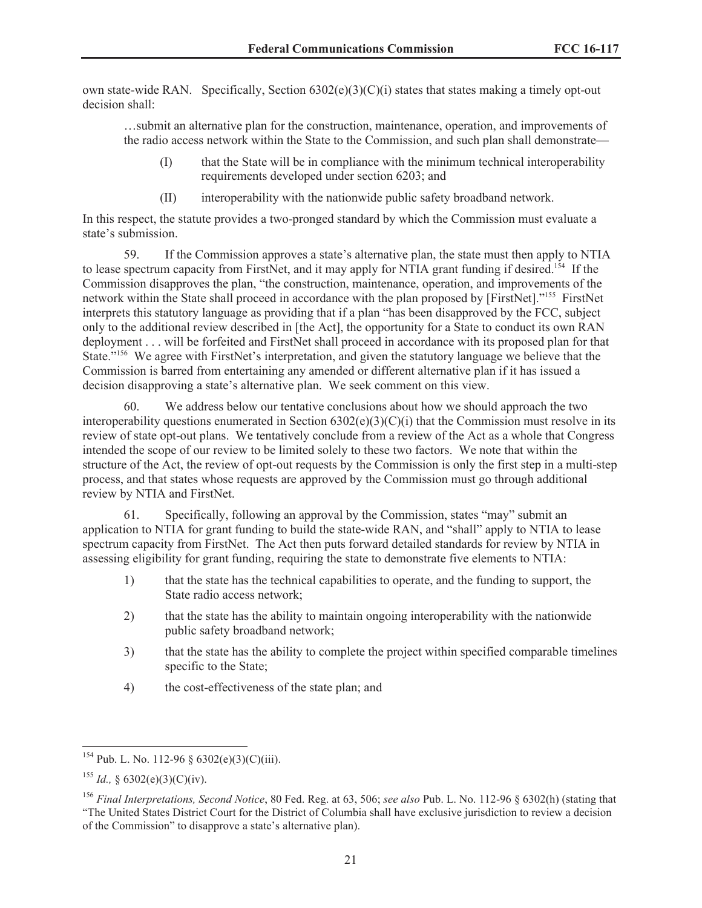own state-wide RAN. Specifically, Section  $6302(e)(3)(C)(i)$  states that states making a timely opt-out decision shall:

…submit an alternative plan for the construction, maintenance, operation, and improvements of the radio access network within the State to the Commission, and such plan shall demonstrate—

- (I) that the State will be in compliance with the minimum technical interoperability requirements developed under section 6203; and
- (II) interoperability with the nationwide public safety broadband network.

In this respect, the statute provides a two-pronged standard by which the Commission must evaluate a state's submission.

59. If the Commission approves a state's alternative plan, the state must then apply to NTIA to lease spectrum capacity from FirstNet, and it may apply for NTIA grant funding if desired.<sup>154</sup> If the Commission disapproves the plan, "the construction, maintenance, operation, and improvements of the network within the State shall proceed in accordance with the plan proposed by [FirstNet]."<sup>155</sup> FirstNet interprets this statutory language as providing that if a plan "has been disapproved by the FCC, subject only to the additional review described in [the Act], the opportunity for a State to conduct its own RAN deployment . . . will be forfeited and FirstNet shall proceed in accordance with its proposed plan for that State."<sup>156</sup> We agree with FirstNet's interpretation, and given the statutory language we believe that the Commission is barred from entertaining any amended or different alternative plan if it has issued a decision disapproving a state's alternative plan. We seek comment on this view.

60. We address below our tentative conclusions about how we should approach the two interoperability questions enumerated in Section  $6302(e)(3)(C)(i)$  that the Commission must resolve in its review of state opt-out plans. We tentatively conclude from a review of the Act as a whole that Congress intended the scope of our review to be limited solely to these two factors. We note that within the structure of the Act, the review of opt-out requests by the Commission is only the first step in a multi-step process, and that states whose requests are approved by the Commission must go through additional review by NTIA and FirstNet.

61. Specifically, following an approval by the Commission, states "may" submit an application to NTIA for grant funding to build the state-wide RAN, and "shall" apply to NTIA to lease spectrum capacity from FirstNet. The Act then puts forward detailed standards for review by NTIA in assessing eligibility for grant funding, requiring the state to demonstrate five elements to NTIA:

- 1) that the state has the technical capabilities to operate, and the funding to support, the State radio access network;
- 2) that the state has the ability to maintain ongoing interoperability with the nationwide public safety broadband network;
- 3) that the state has the ability to complete the project within specified comparable timelines specific to the State;
- 4) the cost-effectiveness of the state plan; and

 $154$  Pub. L. No. 112-96 § 6302(e)(3)(C)(iii).

<sup>&</sup>lt;sup>155</sup> *Id.*, § 6302(e)(3)(C)(iv).

<sup>156</sup> *Final Interpretations, Second Notice*, 80 Fed. Reg. at 63, 506; *see also* Pub. L. No. 112-96 § 6302(h) (stating that "The United States District Court for the District of Columbia shall have exclusive jurisdiction to review a decision of the Commission" to disapprove a state's alternative plan).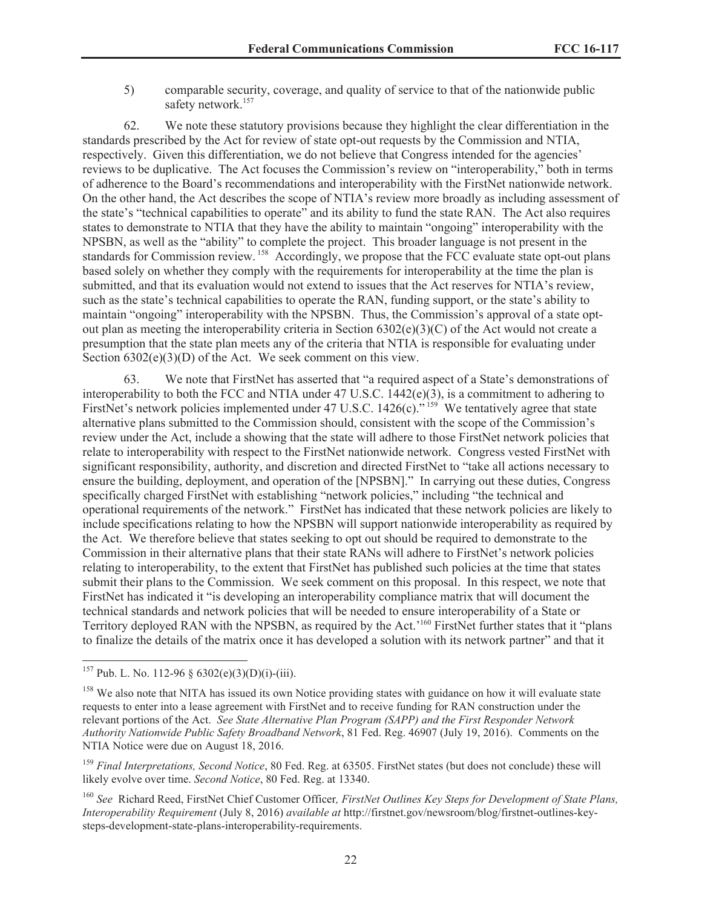5) comparable security, coverage, and quality of service to that of the nationwide public safety network.<sup>157</sup>

62. We note these statutory provisions because they highlight the clear differentiation in the standards prescribed by the Act for review of state opt-out requests by the Commission and NTIA, respectively. Given this differentiation, we do not believe that Congress intended for the agencies' reviews to be duplicative. The Act focuses the Commission's review on "interoperability," both in terms of adherence to the Board's recommendations and interoperability with the FirstNet nationwide network. On the other hand, the Act describes the scope of NTIA's review more broadly as including assessment of the state's "technical capabilities to operate" and its ability to fund the state RAN. The Act also requires states to demonstrate to NTIA that they have the ability to maintain "ongoing" interoperability with the NPSBN, as well as the "ability" to complete the project. This broader language is not present in the standards for Commission review. <sup>158</sup> Accordingly, we propose that the FCC evaluate state opt-out plans based solely on whether they comply with the requirements for interoperability at the time the plan is submitted, and that its evaluation would not extend to issues that the Act reserves for NTIA's review, such as the state's technical capabilities to operate the RAN, funding support, or the state's ability to maintain "ongoing" interoperability with the NPSBN. Thus, the Commission's approval of a state optout plan as meeting the interoperability criteria in Section  $6302(e)(3)(C)$  of the Act would not create a presumption that the state plan meets any of the criteria that NTIA is responsible for evaluating under Section  $6302(e)(3)(D)$  of the Act. We seek comment on this view.

63. We note that FirstNet has asserted that "a required aspect of a State's demonstrations of interoperability to both the FCC and NTIA under 47 U.S.C. 1442(e)(3), is a commitment to adhering to FirstNet's network policies implemented under 47 U.S.C. 1426(c)."<sup>159</sup> We tentatively agree that state alternative plans submitted to the Commission should, consistent with the scope of the Commission's review under the Act, include a showing that the state will adhere to those FirstNet network policies that relate to interoperability with respect to the FirstNet nationwide network. Congress vested FirstNet with significant responsibility, authority, and discretion and directed FirstNet to "take all actions necessary to ensure the building, deployment, and operation of the [NPSBN]." In carrying out these duties, Congress specifically charged FirstNet with establishing "network policies," including "the technical and operational requirements of the network." FirstNet has indicated that these network policies are likely to include specifications relating to how the NPSBN will support nationwide interoperability as required by the Act. We therefore believe that states seeking to opt out should be required to demonstrate to the Commission in their alternative plans that their state RANs will adhere to FirstNet's network policies relating to interoperability, to the extent that FirstNet has published such policies at the time that states submit their plans to the Commission. We seek comment on this proposal. In this respect, we note that FirstNet has indicated it "is developing an interoperability compliance matrix that will document the technical standards and network policies that will be needed to ensure interoperability of a State or Territory deployed RAN with the NPSBN, as required by the Act.'<sup>160</sup> FirstNet further states that it "plans to finalize the details of the matrix once it has developed a solution with its network partner" and that it

 $157$  Pub. L. No. 112-96 § 6302(e)(3)(D)(i)-(iii).

<sup>&</sup>lt;sup>158</sup> We also note that NITA has issued its own Notice providing states with guidance on how it will evaluate state requests to enter into a lease agreement with FirstNet and to receive funding for RAN construction under the relevant portions of the Act. *See State Alternative Plan Program (SAPP) and the First Responder Network Authority Nationwide Public Safety Broadband Network*, 81 Fed. Reg. 46907 (July 19, 2016). Comments on the NTIA Notice were due on August 18, 2016.

<sup>159</sup> *Final Interpretations, Second Notice*, 80 Fed. Reg. at 63505. FirstNet states (but does not conclude) these will likely evolve over time. *Second Notice*, 80 Fed. Reg. at 13340.

<sup>160</sup> *See* Richard Reed, FirstNet Chief Customer Officer*, FirstNet Outlines Key Steps for Development of State Plans, Interoperability Requirement* (July 8, 2016) *available at* http://firstnet.gov/newsroom/blog/firstnet-outlines-keysteps-development-state-plans-interoperability-requirements.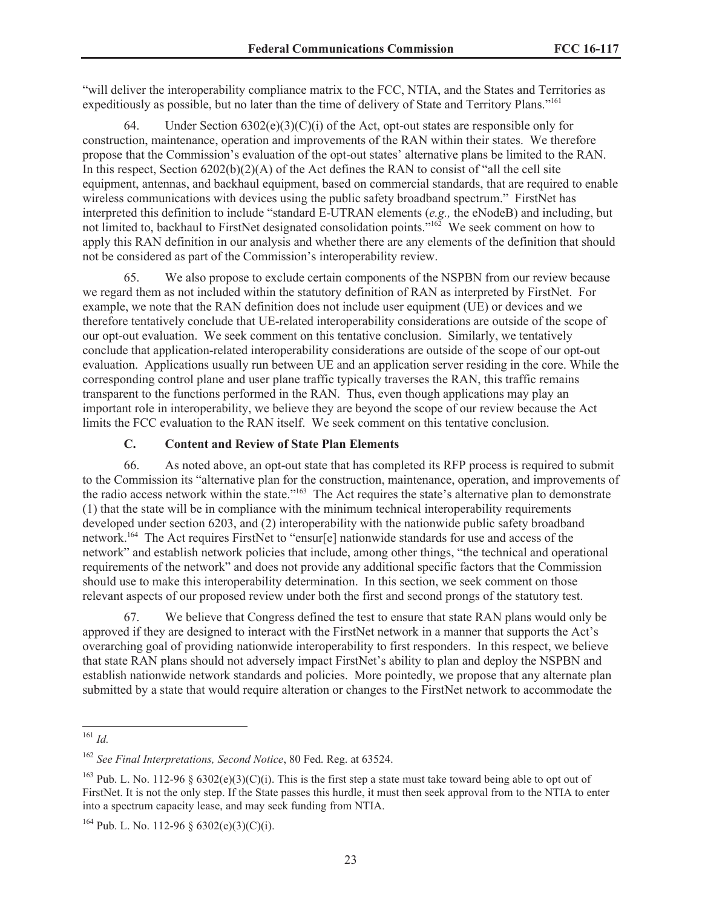"will deliver the interoperability compliance matrix to the FCC, NTIA, and the States and Territories as expeditiously as possible, but no later than the time of delivery of State and Territory Plans."<sup>161</sup>

64. Under Section  $6302(e)(3)(C)(i)$  of the Act, opt-out states are responsible only for construction, maintenance, operation and improvements of the RAN within their states. We therefore propose that the Commission's evaluation of the opt-out states' alternative plans be limited to the RAN. In this respect, Section  $6202(b)(2)(A)$  of the Act defines the RAN to consist of "all the cell site equipment, antennas, and backhaul equipment, based on commercial standards, that are required to enable wireless communications with devices using the public safety broadband spectrum." FirstNet has interpreted this definition to include "standard E-UTRAN elements (*e.g.,* the eNodeB) and including, but not limited to, backhaul to FirstNet designated consolidation points."<sup>162</sup> We seek comment on how to apply this RAN definition in our analysis and whether there are any elements of the definition that should not be considered as part of the Commission's interoperability review.

65. We also propose to exclude certain components of the NSPBN from our review because we regard them as not included within the statutory definition of RAN as interpreted by FirstNet. For example, we note that the RAN definition does not include user equipment (UE) or devices and we therefore tentatively conclude that UE-related interoperability considerations are outside of the scope of our opt-out evaluation. We seek comment on this tentative conclusion. Similarly, we tentatively conclude that application-related interoperability considerations are outside of the scope of our opt-out evaluation. Applications usually run between UE and an application server residing in the core. While the corresponding control plane and user plane traffic typically traverses the RAN, this traffic remains transparent to the functions performed in the RAN. Thus, even though applications may play an important role in interoperability, we believe they are beyond the scope of our review because the Act limits the FCC evaluation to the RAN itself. We seek comment on this tentative conclusion.

## **C. Content and Review of State Plan Elements**

66. As noted above, an opt-out state that has completed its RFP process is required to submit to the Commission its "alternative plan for the construction, maintenance, operation, and improvements of the radio access network within the state."<sup>163</sup> The Act requires the state's alternative plan to demonstrate (1) that the state will be in compliance with the minimum technical interoperability requirements developed under section 6203, and (2) interoperability with the nationwide public safety broadband network.<sup>164</sup> The Act requires FirstNet to "ensur[e] nationwide standards for use and access of the network" and establish network policies that include, among other things, "the technical and operational requirements of the network" and does not provide any additional specific factors that the Commission should use to make this interoperability determination. In this section, we seek comment on those relevant aspects of our proposed review under both the first and second prongs of the statutory test.

67. We believe that Congress defined the test to ensure that state RAN plans would only be approved if they are designed to interact with the FirstNet network in a manner that supports the Act's overarching goal of providing nationwide interoperability to first responders. In this respect, we believe that state RAN plans should not adversely impact FirstNet's ability to plan and deploy the NSPBN and establish nationwide network standards and policies. More pointedly, we propose that any alternate plan submitted by a state that would require alteration or changes to the FirstNet network to accommodate the

<sup>161</sup> *Id.*

<sup>162</sup> *See Final Interpretations, Second Notice*, 80 Fed. Reg. at 63524.

<sup>&</sup>lt;sup>163</sup> Pub. L. No. 112-96 § 6302(e)(3)(C)(i). This is the first step a state must take toward being able to opt out of FirstNet. It is not the only step. If the State passes this hurdle, it must then seek approval from to the NTIA to enter into a spectrum capacity lease, and may seek funding from NTIA.

<sup>&</sup>lt;sup>164</sup> Pub. L. No. 112-96 § 6302(e)(3)(C)(i).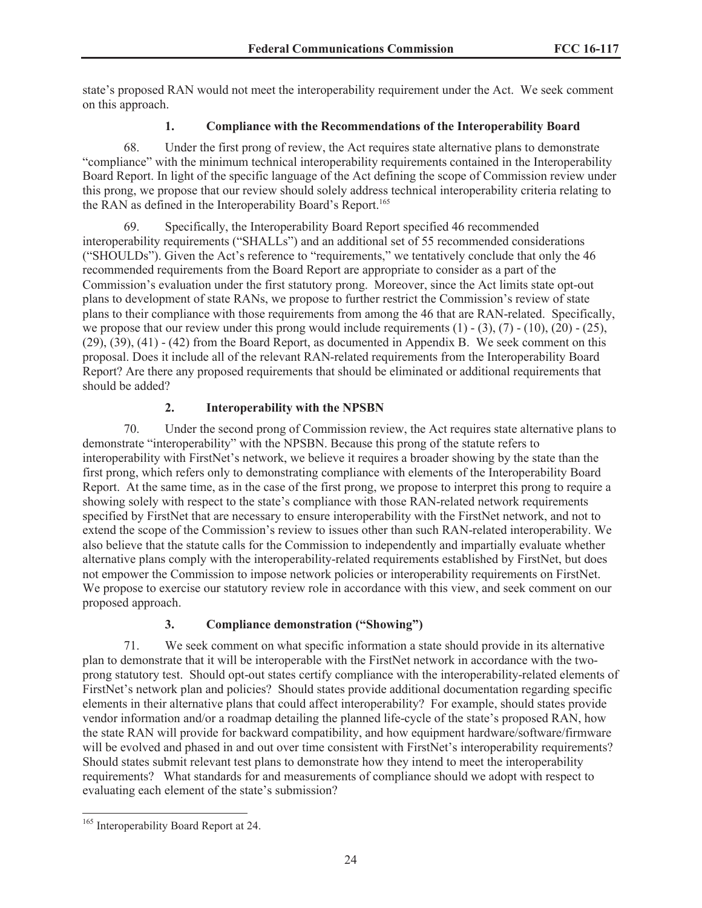state's proposed RAN would not meet the interoperability requirement under the Act. We seek comment on this approach.

## **1. Compliance with the Recommendations of the Interoperability Board**

68. Under the first prong of review, the Act requires state alternative plans to demonstrate "compliance" with the minimum technical interoperability requirements contained in the Interoperability Board Report. In light of the specific language of the Act defining the scope of Commission review under this prong, we propose that our review should solely address technical interoperability criteria relating to the RAN as defined in the Interoperability Board's Report.<sup>165</sup>

69. Specifically, the Interoperability Board Report specified 46 recommended interoperability requirements ("SHALLs") and an additional set of 55 recommended considerations ("SHOULDs"). Given the Act's reference to "requirements," we tentatively conclude that only the 46 recommended requirements from the Board Report are appropriate to consider as a part of the Commission's evaluation under the first statutory prong. Moreover, since the Act limits state opt-out plans to development of state RANs, we propose to further restrict the Commission's review of state plans to their compliance with those requirements from among the 46 that are RAN-related. Specifically, we propose that our review under this prong would include requirements  $(1) - (3)$ ,  $(7) - (10)$ ,  $(20) - (25)$ , (29), (39), (41) - (42) from the Board Report, as documented in Appendix B. We seek comment on this proposal. Does it include all of the relevant RAN-related requirements from the Interoperability Board Report? Are there any proposed requirements that should be eliminated or additional requirements that should be added?

# **2. Interoperability with the NPSBN**

70. Under the second prong of Commission review, the Act requires state alternative plans to demonstrate "interoperability" with the NPSBN. Because this prong of the statute refers to interoperability with FirstNet's network, we believe it requires a broader showing by the state than the first prong, which refers only to demonstrating compliance with elements of the Interoperability Board Report. At the same time, as in the case of the first prong, we propose to interpret this prong to require a showing solely with respect to the state's compliance with those RAN-related network requirements specified by FirstNet that are necessary to ensure interoperability with the FirstNet network, and not to extend the scope of the Commission's review to issues other than such RAN-related interoperability. We also believe that the statute calls for the Commission to independently and impartially evaluate whether alternative plans comply with the interoperability-related requirements established by FirstNet, but does not empower the Commission to impose network policies or interoperability requirements on FirstNet. We propose to exercise our statutory review role in accordance with this view, and seek comment on our proposed approach.

# **3. Compliance demonstration ("Showing")**

71. We seek comment on what specific information a state should provide in its alternative plan to demonstrate that it will be interoperable with the FirstNet network in accordance with the twoprong statutory test. Should opt-out states certify compliance with the interoperability-related elements of FirstNet's network plan and policies? Should states provide additional documentation regarding specific elements in their alternative plans that could affect interoperability? For example, should states provide vendor information and/or a roadmap detailing the planned life-cycle of the state's proposed RAN, how the state RAN will provide for backward compatibility, and how equipment hardware/software/firmware will be evolved and phased in and out over time consistent with FirstNet's interoperability requirements? Should states submit relevant test plans to demonstrate how they intend to meet the interoperability requirements? What standards for and measurements of compliance should we adopt with respect to evaluating each element of the state's submission?

<sup>&</sup>lt;sup>165</sup> Interoperability Board Report at 24.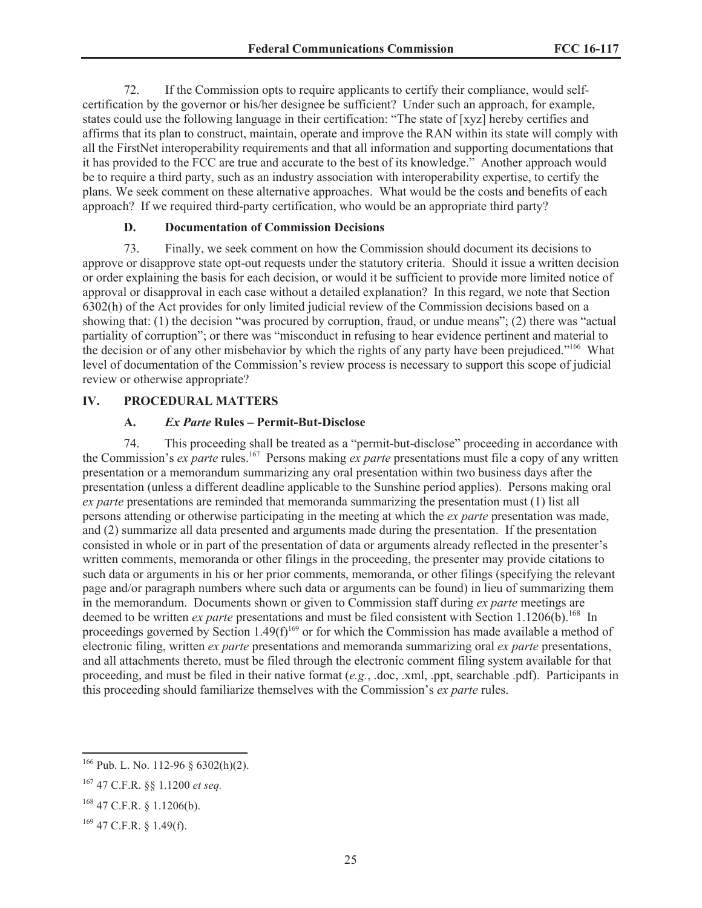72. If the Commission opts to require applicants to certify their compliance, would selfcertification by the governor or his/her designee be sufficient? Under such an approach, for example, states could use the following language in their certification: "The state of [xyz] hereby certifies and affirms that its plan to construct, maintain, operate and improve the RAN within its state will comply with all the FirstNet interoperability requirements and that all information and supporting documentations that it has provided to the FCC are true and accurate to the best of its knowledge." Another approach would be to require a third party, such as an industry association with interoperability expertise, to certify the plans. We seek comment on these alternative approaches. What would be the costs and benefits of each approach? If we required third-party certification, who would be an appropriate third party?

### **D. Documentation of Commission Decisions**

73. Finally, we seek comment on how the Commission should document its decisions to approve or disapprove state opt-out requests under the statutory criteria. Should it issue a written decision or order explaining the basis for each decision, or would it be sufficient to provide more limited notice of approval or disapproval in each case without a detailed explanation? In this regard, we note that Section 6302(h) of the Act provides for only limited judicial review of the Commission decisions based on a showing that: (1) the decision "was procured by corruption, fraud, or undue means"; (2) there was "actual partiality of corruption"; or there was "misconduct in refusing to hear evidence pertinent and material to the decision or of any other misbehavior by which the rights of any party have been prejudiced."<sup>166</sup> What level of documentation of the Commission's review process is necessary to support this scope of judicial review or otherwise appropriate?

## **IV. PROCEDURAL MATTERS**

## **A.** *Ex Parte* **Rules – Permit-But-Disclose**

74. This proceeding shall be treated as a "permit-but-disclose" proceeding in accordance with the Commission's *ex parte* rules.<sup>167</sup> Persons making *ex parte* presentations must file a copy of any written presentation or a memorandum summarizing any oral presentation within two business days after the presentation (unless a different deadline applicable to the Sunshine period applies). Persons making oral *ex parte* presentations are reminded that memoranda summarizing the presentation must (1) list all persons attending or otherwise participating in the meeting at which the *ex parte* presentation was made, and (2) summarize all data presented and arguments made during the presentation. If the presentation consisted in whole or in part of the presentation of data or arguments already reflected in the presenter's written comments, memoranda or other filings in the proceeding, the presenter may provide citations to such data or arguments in his or her prior comments, memoranda, or other filings (specifying the relevant page and/or paragraph numbers where such data or arguments can be found) in lieu of summarizing them in the memorandum. Documents shown or given to Commission staff during *ex parte* meetings are deemed to be written *ex parte* presentations and must be filed consistent with Section 1.1206(b).<sup>168</sup> In proceedings governed by Section 1.49(f)<sup>169</sup> or for which the Commission has made available a method of electronic filing, written *ex parte* presentations and memoranda summarizing oral *ex parte* presentations, and all attachments thereto, must be filed through the electronic comment filing system available for that proceeding, and must be filed in their native format (*e.g.*, .doc, .xml, .ppt, searchable .pdf). Participants in this proceeding should familiarize themselves with the Commission's *ex parte* rules.

<sup>166</sup> Pub. L. No. 112-96 § 6302(h)(2).

<sup>167</sup> 47 C.F.R. §§ 1.1200 *et seq.*

<sup>168</sup> 47 C.F.R. § 1.1206(b).

<sup>169</sup> 47 C.F.R. § 1.49(f).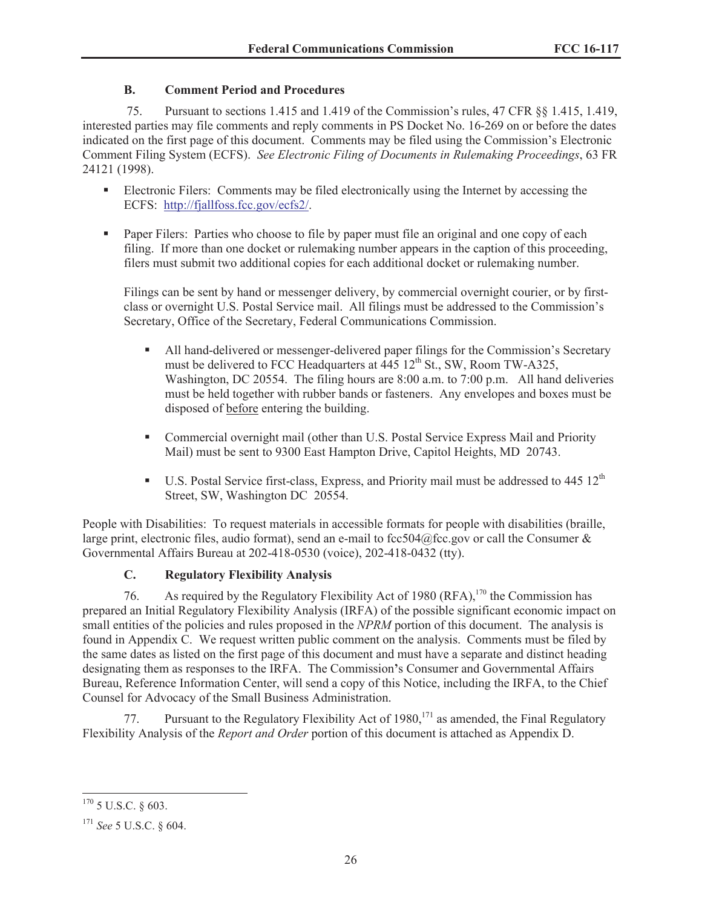# **B. Comment Period and Procedures**

75. Pursuant to sections 1.415 and 1.419 of the Commission's rules, 47 CFR §§ 1.415, 1.419, interested parties may file comments and reply comments in PS Docket No. 16-269 on or before the dates indicated on the first page of this document. Comments may be filed using the Commission's Electronic Comment Filing System (ECFS). *See Electronic Filing of Documents in Rulemaking Proceedings*, 63 FR 24121 (1998).

- **•** Electronic Filers: Comments may be filed electronically using the Internet by accessing the ECFS: http://fjallfoss.fcc.gov/ecfs2/.
- Paper Filers: Parties who choose to file by paper must file an original and one copy of each filing. If more than one docket or rulemaking number appears in the caption of this proceeding, filers must submit two additional copies for each additional docket or rulemaking number.

Filings can be sent by hand or messenger delivery, by commercial overnight courier, or by firstclass or overnight U.S. Postal Service mail. All filings must be addressed to the Commission's Secretary, Office of the Secretary, Federal Communications Commission.

- All hand-delivered or messenger-delivered paper filings for the Commission's Secretary must be delivered to FCC Headquarters at  $445 \frac{12^{th}}{S}$  St., SW, Room TW-A325, Washington, DC 20554. The filing hours are 8:00 a.m. to 7:00 p.m. All hand deliveries must be held together with rubber bands or fasteners. Any envelopes and boxes must be disposed of before entering the building.
- Commercial overnight mail (other than U.S. Postal Service Express Mail and Priority Mail) must be sent to 9300 East Hampton Drive, Capitol Heights, MD 20743.
- **•** U.S. Postal Service first-class, Express, and Priority mail must be addressed to  $445 \times 12^{th}$ Street, SW, Washington DC 20554.

People with Disabilities: To request materials in accessible formats for people with disabilities (braille, large print, electronic files, audio format), send an e-mail to fcc504@fcc.gov or call the Consumer  $\&$ Governmental Affairs Bureau at 202-418-0530 (voice), 202-418-0432 (tty).

# **C. Regulatory Flexibility Analysis**

76. As required by the Regulatory Flexibility Act of 1980 (RFA),  $170$  the Commission has prepared an Initial Regulatory Flexibility Analysis (IRFA) of the possible significant economic impact on small entities of the policies and rules proposed in the *NPRM* portion of this document. The analysis is found in Appendix C. We request written public comment on the analysis. Comments must be filed by the same dates as listed on the first page of this document and must have a separate and distinct heading designating them as responses to the IRFA. The Commission**'**s Consumer and Governmental Affairs Bureau, Reference Information Center, will send a copy of this Notice, including the IRFA, to the Chief Counsel for Advocacy of the Small Business Administration.

77. Pursuant to the Regulatory Flexibility Act of 1980,<sup>171</sup> as amended, the Final Regulatory Flexibility Analysis of the *Report and Order* portion of this document is attached as Appendix D.

 $170$  5 U.S.C. § 603.

<sup>171</sup> *See* 5 U.S.C. § 604.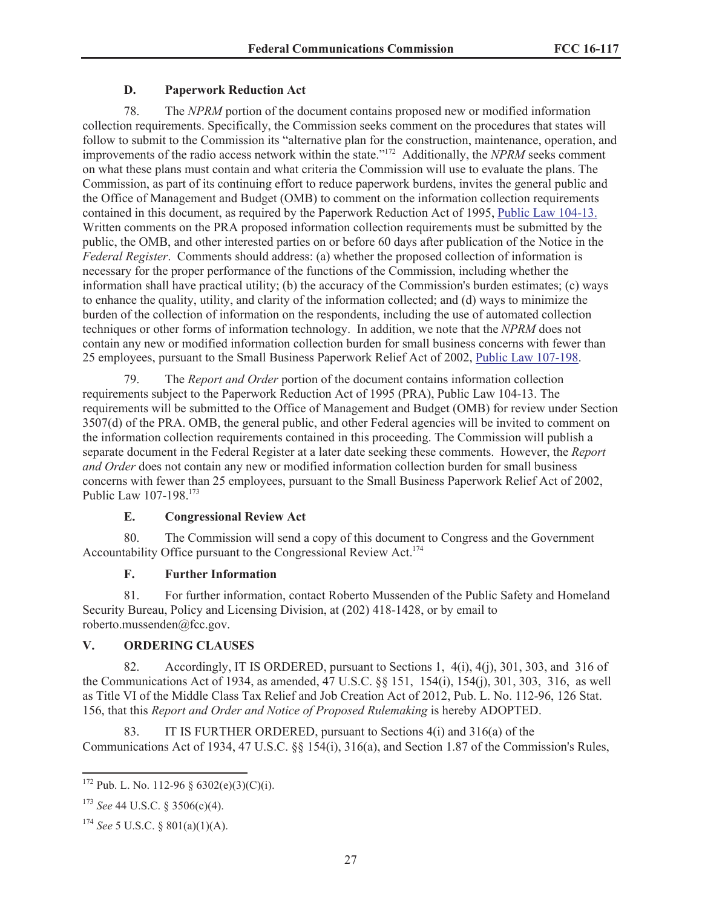## **D. Paperwork Reduction Act**

78. The *NPRM* portion of the document contains proposed new or modified information collection requirements. Specifically, the Commission seeks comment on the procedures that states will follow to submit to the Commission its "alternative plan for the construction, maintenance, operation, and improvements of the radio access network within the state."<sup>172</sup> Additionally, the *NPRM* seeks comment on what these plans must contain and what criteria the Commission will use to evaluate the plans. The Commission, as part of its continuing effort to reduce paperwork burdens, invites the general public and the Office of Management and Budget (OMB) to comment on the information collection requirements contained in this document, as required by the Paperwork Reduction Act of 1995, Public Law 104-13. Written comments on the PRA proposed information collection requirements must be submitted by the public, the OMB, and other interested parties on or before 60 days after publication of the Notice in the *Federal Register*. Comments should address: (a) whether the proposed collection of information is necessary for the proper performance of the functions of the Commission, including whether the information shall have practical utility; (b) the accuracy of the Commission's burden estimates; (c) ways to enhance the quality, utility, and clarity of the information collected; and (d) ways to minimize the burden of the collection of information on the respondents, including the use of automated collection techniques or other forms of information technology. In addition, we note that the *NPRM* does not contain any new or modified information collection burden for small business concerns with fewer than 25 employees, pursuant to the Small Business Paperwork Relief Act of 2002, Public Law 107-198.

79. The *Report and Order* portion of the document contains information collection requirements subject to the Paperwork Reduction Act of 1995 (PRA), Public Law 104-13. The requirements will be submitted to the Office of Management and Budget (OMB) for review under Section 3507(d) of the PRA. OMB, the general public, and other Federal agencies will be invited to comment on the information collection requirements contained in this proceeding. The Commission will publish a separate document in the Federal Register at a later date seeking these comments. However, the *Report and Order* does not contain any new or modified information collection burden for small business concerns with fewer than 25 employees, pursuant to the Small Business Paperwork Relief Act of 2002, Public Law 107-198.<sup>173</sup>

# **E. Congressional Review Act**

80. The Commission will send a copy of this document to Congress and the Government Accountability Office pursuant to the Congressional Review Act.<sup>174</sup>

# **F. Further Information**

81. For further information, contact Roberto Mussenden of the Public Safety and Homeland Security Bureau, Policy and Licensing Division, at (202) 418-1428, or by email to roberto.mussenden@fcc.gov.

# **V. ORDERING CLAUSES**

82. Accordingly, IT IS ORDERED, pursuant to Sections 1, 4(i), 4(j), 301, 303, and 316 of the Communications Act of 1934, as amended, 47 U.S.C. §§ 151, 154(i), 154(j), 301, 303, 316, as well as Title VI of the Middle Class Tax Relief and Job Creation Act of 2012, Pub. L. No. 112-96, 126 Stat. 156, that this *Report and Order and Notice of Proposed Rulemaking* is hereby ADOPTED.

83. IT IS FURTHER ORDERED, pursuant to Sections 4(i) and 316(a) of the Communications Act of 1934, 47 U.S.C. §§ 154(i), 316(a), and Section 1.87 of the Commission's Rules,

<sup>&</sup>lt;sup>172</sup> Pub. L. No. 112-96 § 6302(e)(3)(C)(i).

<sup>173</sup> *See* 44 U.S.C. § 3506(c)(4).

<sup>174</sup> *See* 5 U.S.C. § 801(a)(1)(A).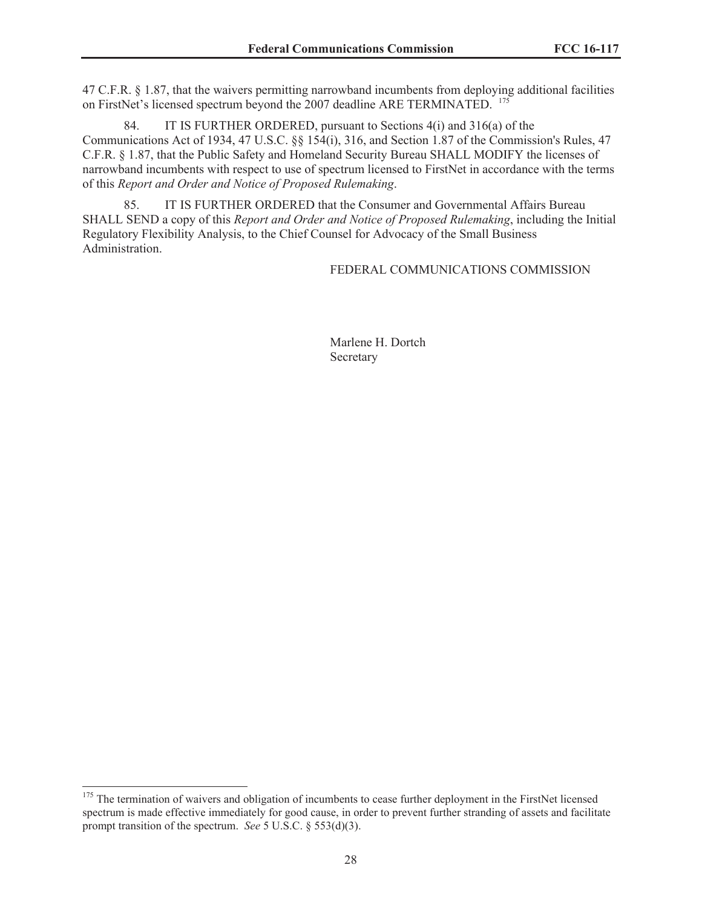47 C.F.R. § 1.87, that the waivers permitting narrowband incumbents from deploying additional facilities on FirstNet's licensed spectrum beyond the 2007 deadline ARE TERMINATED. <sup>175</sup>

84. IT IS FURTHER ORDERED, pursuant to Sections 4(i) and 316(a) of the Communications Act of 1934, 47 U.S.C. §§ 154(i), 316, and Section 1.87 of the Commission's Rules, 47 C.F.R. § 1.87, that the Public Safety and Homeland Security Bureau SHALL MODIFY the licenses of narrowband incumbents with respect to use of spectrum licensed to FirstNet in accordance with the terms of this *Report and Order and Notice of Proposed Rulemaking*.

85. IT IS FURTHER ORDERED that the Consumer and Governmental Affairs Bureau SHALL SEND a copy of this *Report and Order and Notice of Proposed Rulemaking*, including the Initial Regulatory Flexibility Analysis, to the Chief Counsel for Advocacy of the Small Business Administration.

FEDERAL COMMUNICATIONS COMMISSION

Marlene H. Dortch Secretary

<sup>&</sup>lt;sup>175</sup> The termination of waivers and obligation of incumbents to cease further deployment in the FirstNet licensed spectrum is made effective immediately for good cause, in order to prevent further stranding of assets and facilitate prompt transition of the spectrum. *See* 5 U.S.C. § 553(d)(3).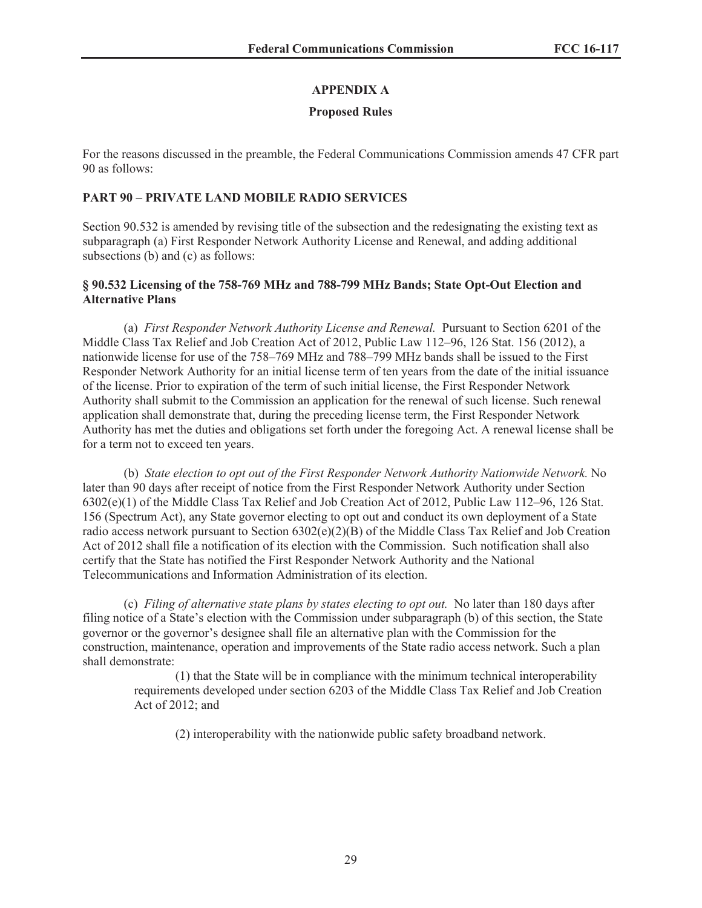# **APPENDIX A**

# **Proposed Rules**

For the reasons discussed in the preamble, the Federal Communications Commission amends 47 CFR part 90 as follows:

# **PART 90 – PRIVATE LAND MOBILE RADIO SERVICES**

Section 90.532 is amended by revising title of the subsection and the redesignating the existing text as subparagraph (a) First Responder Network Authority License and Renewal, and adding additional subsections (b) and (c) as follows:

## **§ 90.532 Licensing of the 758-769 MHz and 788-799 MHz Bands; State Opt-Out Election and Alternative Plans**

(a) *First Responder Network Authority License and Renewal.* Pursuant to Section 6201 of the Middle Class Tax Relief and Job Creation Act of 2012, Public Law 112–96, 126 Stat. 156 (2012), a nationwide license for use of the 758–769 MHz and 788–799 MHz bands shall be issued to the First Responder Network Authority for an initial license term of ten years from the date of the initial issuance of the license. Prior to expiration of the term of such initial license, the First Responder Network Authority shall submit to the Commission an application for the renewal of such license. Such renewal application shall demonstrate that, during the preceding license term, the First Responder Network Authority has met the duties and obligations set forth under the foregoing Act. A renewal license shall be for a term not to exceed ten years.

(b) *State election to opt out of the First Responder Network Authority Nationwide Network.* No later than 90 days after receipt of notice from the First Responder Network Authority under Section 6302(e)(1) of the Middle Class Tax Relief and Job Creation Act of 2012, Public Law 112–96, 126 Stat. 156 (Spectrum Act), any State governor electing to opt out and conduct its own deployment of a State radio access network pursuant to Section  $6302(e)(2)(B)$  of the Middle Class Tax Relief and Job Creation Act of 2012 shall file a notification of its election with the Commission. Such notification shall also certify that the State has notified the First Responder Network Authority and the National Telecommunications and Information Administration of its election.

(c) *Filing of alternative state plans by states electing to opt out.* No later than 180 days after filing notice of a State's election with the Commission under subparagraph (b) of this section, the State governor or the governor's designee shall file an alternative plan with the Commission for the construction, maintenance, operation and improvements of the State radio access network. Such a plan shall demonstrate:

(1) that the State will be in compliance with the minimum technical interoperability requirements developed under section 6203 of the Middle Class Tax Relief and Job Creation Act of 2012; and

(2) interoperability with the nationwide public safety broadband network.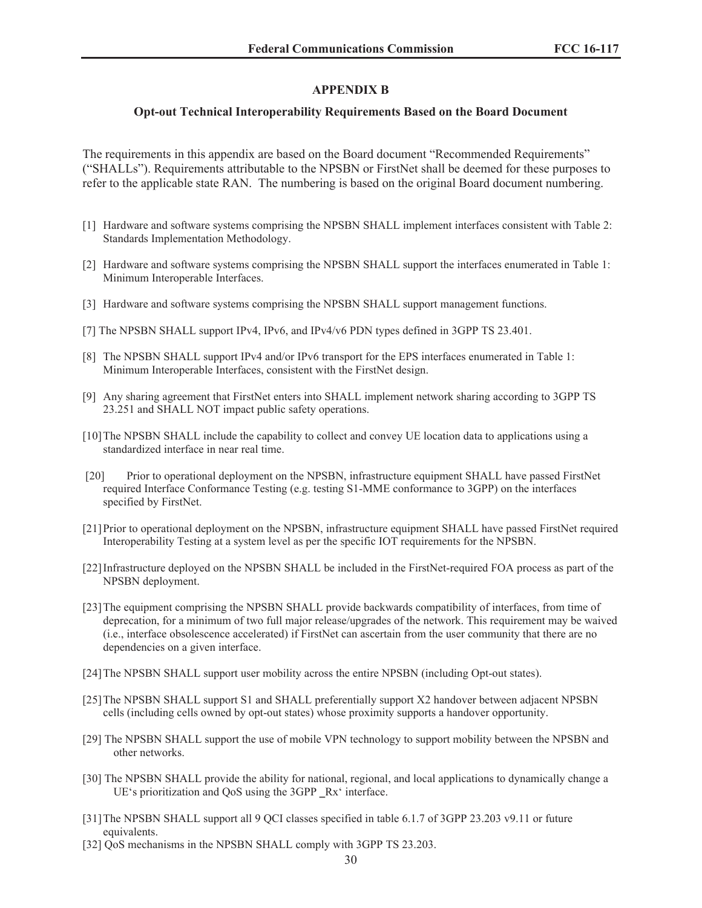#### **APPENDIX B**

#### **Opt-out Technical Interoperability Requirements Based on the Board Document**

The requirements in this appendix are based on the Board document "Recommended Requirements" ("SHALLs"). Requirements attributable to the NPSBN or FirstNet shall be deemed for these purposes to refer to the applicable state RAN. The numbering is based on the original Board document numbering.

- [1] Hardware and software systems comprising the NPSBN SHALL implement interfaces consistent with Table 2: Standards Implementation Methodology.
- [2] Hardware and software systems comprising the NPSBN SHALL support the interfaces enumerated in Table 1: Minimum Interoperable Interfaces.
- [3] Hardware and software systems comprising the NPSBN SHALL support management functions.
- [7] The NPSBN SHALL support IPv4, IPv6, and IPv4/v6 PDN types defined in 3GPP TS 23.401.
- [8] The NPSBN SHALL support IPv4 and/or IPv6 transport for the EPS interfaces enumerated in Table 1: Minimum Interoperable Interfaces, consistent with the FirstNet design.
- [9] Any sharing agreement that FirstNet enters into SHALL implement network sharing according to 3GPP TS 23.251 and SHALL NOT impact public safety operations.
- [10]The NPSBN SHALL include the capability to collect and convey UE location data to applications using a standardized interface in near real time.
- [20] Prior to operational deployment on the NPSBN, infrastructure equipment SHALL have passed FirstNet required Interface Conformance Testing (e.g. testing S1-MME conformance to 3GPP) on the interfaces specified by FirstNet.
- [21]Prior to operational deployment on the NPSBN, infrastructure equipment SHALL have passed FirstNet required Interoperability Testing at a system level as per the specific IOT requirements for the NPSBN.
- [22]Infrastructure deployed on the NPSBN SHALL be included in the FirstNet-required FOA process as part of the NPSBN deployment.
- [23]The equipment comprising the NPSBN SHALL provide backwards compatibility of interfaces, from time of deprecation, for a minimum of two full major release/upgrades of the network. This requirement may be waived (i.e., interface obsolescence accelerated) if FirstNet can ascertain from the user community that there are no dependencies on a given interface.
- [24]The NPSBN SHALL support user mobility across the entire NPSBN (including Opt-out states).
- [25] The NPSBN SHALL support S1 and SHALL preferentially support X2 handover between adjacent NPSBN cells (including cells owned by opt-out states) whose proximity supports a handover opportunity.
- [29] The NPSBN SHALL support the use of mobile VPN technology to support mobility between the NPSBN and other networks.
- [30] The NPSBN SHALL provide the ability for national, regional, and local applications to dynamically change a UE's prioritization and QoS using the 3GPP Rx' interface.
- [31]The NPSBN SHALL support all 9 QCI classes specified in table 6.1.7 of 3GPP 23.203 v9.11 or future equivalents.
- [32] QoS mechanisms in the NPSBN SHALL comply with 3GPP TS 23.203.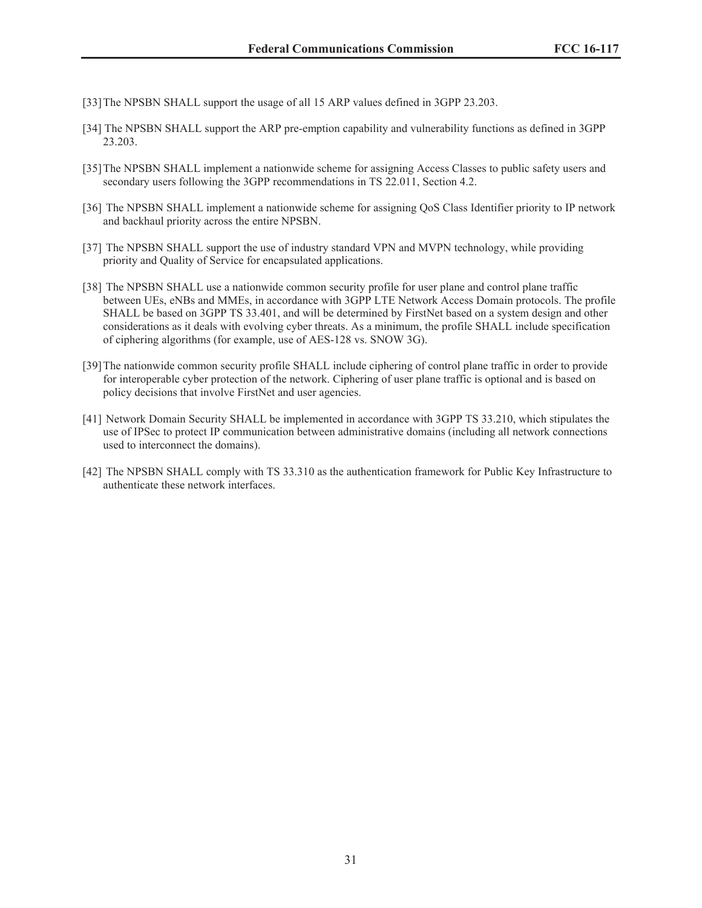- [33]The NPSBN SHALL support the usage of all 15 ARP values defined in 3GPP 23.203.
- [34] The NPSBN SHALL support the ARP pre-emption capability and vulnerability functions as defined in 3GPP 23.203.
- [35] The NPSBN SHALL implement a nationwide scheme for assigning Access Classes to public safety users and secondary users following the 3GPP recommendations in TS 22.011, Section 4.2.
- [36] The NPSBN SHALL implement a nationwide scheme for assigning QoS Class Identifier priority to IP network and backhaul priority across the entire NPSBN.
- [37] The NPSBN SHALL support the use of industry standard VPN and MVPN technology, while providing priority and Quality of Service for encapsulated applications.
- [38] The NPSBN SHALL use a nationwide common security profile for user plane and control plane traffic between UEs, eNBs and MMEs, in accordance with 3GPP LTE Network Access Domain protocols. The profile SHALL be based on 3GPP TS 33.401, and will be determined by FirstNet based on a system design and other considerations as it deals with evolving cyber threats. As a minimum, the profile SHALL include specification of ciphering algorithms (for example, use of AES-128 vs. SNOW 3G).
- [39]The nationwide common security profile SHALL include ciphering of control plane traffic in order to provide for interoperable cyber protection of the network. Ciphering of user plane traffic is optional and is based on policy decisions that involve FirstNet and user agencies.
- [41] Network Domain Security SHALL be implemented in accordance with 3GPP TS 33.210, which stipulates the use of IPSec to protect IP communication between administrative domains (including all network connections used to interconnect the domains).
- [42] The NPSBN SHALL comply with TS 33.310 as the authentication framework for Public Key Infrastructure to authenticate these network interfaces.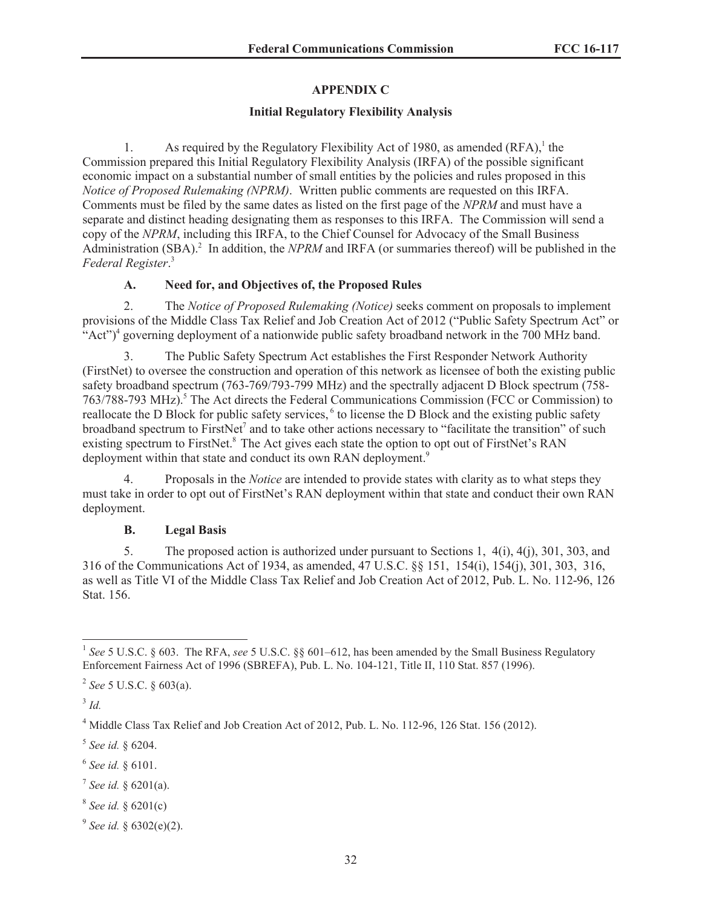# **APPENDIX C**

## **Initial Regulatory Flexibility Analysis**

1. As required by the Regulatory Flexibility Act of 1980, as amended  $(RFA)$ ,<sup>1</sup> the Commission prepared this Initial Regulatory Flexibility Analysis (IRFA) of the possible significant economic impact on a substantial number of small entities by the policies and rules proposed in this *Notice of Proposed Rulemaking (NPRM)*. Written public comments are requested on this IRFA. Comments must be filed by the same dates as listed on the first page of the *NPRM* and must have a separate and distinct heading designating them as responses to this IRFA. The Commission will send a copy of the *NPRM*, including this IRFA, to the Chief Counsel for Advocacy of the Small Business Administration (SBA).<sup>2</sup> In addition, the *NPRM* and IRFA (or summaries thereof) will be published in the *Federal Register*. 3

# **A. Need for, and Objectives of, the Proposed Rules**

2. The *Notice of Proposed Rulemaking (Notice)* seeks comment on proposals to implement provisions of the Middle Class Tax Relief and Job Creation Act of 2012 ("Public Safety Spectrum Act" or "Act")<sup>4</sup> governing deployment of a nationwide public safety broadband network in the 700 MHz band.

3. The Public Safety Spectrum Act establishes the First Responder Network Authority (FirstNet) to oversee the construction and operation of this network as licensee of both the existing public safety broadband spectrum (763-769/793-799 MHz) and the spectrally adjacent D Block spectrum (758- 763/788-793 MHz).<sup>5</sup> The Act directs the Federal Communications Commission (FCC or Commission) to reallocate the D Block for public safety services, <sup>6</sup> to license the D Block and the existing public safety broadband spectrum to FirstNet<sup>7</sup> and to take other actions necessary to "facilitate the transition" of such existing spectrum to FirstNet.<sup>8</sup> The Act gives each state the option to opt out of FirstNet's RAN deployment within that state and conduct its own RAN deployment.<sup>9</sup>

4. Proposals in the *Notice* are intended to provide states with clarity as to what steps they must take in order to opt out of FirstNet's RAN deployment within that state and conduct their own RAN deployment.

# **B. Legal Basis**

5. The proposed action is authorized under pursuant to Sections 1, 4(i), 4(j), 301, 303, and 316 of the Communications Act of 1934, as amended, 47 U.S.C. §§ 151, 154(i), 154(j), 301, 303, 316, as well as Title VI of the Middle Class Tax Relief and Job Creation Act of 2012, Pub. L. No. 112-96, 126 Stat. 156.

3 *Id.*

- 7 *See id.* § 6201(a).
- 8 *See id.* § 6201(c)
- 9 *See id.* § 6302(e)(2).

<sup>&</sup>lt;sup>1</sup> See 5 U.S.C. § 603. The RFA, see 5 U.S.C. §§ 601–612, has been amended by the Small Business Regulatory Enforcement Fairness Act of 1996 (SBREFA), Pub. L. No. 104-121, Title II, 110 Stat. 857 (1996).

<sup>2</sup> *See* 5 U.S.C. § 603(a).

<sup>4</sup> Middle Class Tax Relief and Job Creation Act of 2012, Pub. L. No. 112-96, 126 Stat. 156 (2012).

<sup>5</sup> *See id.* § 6204.

<sup>6</sup> *See id.* § 6101.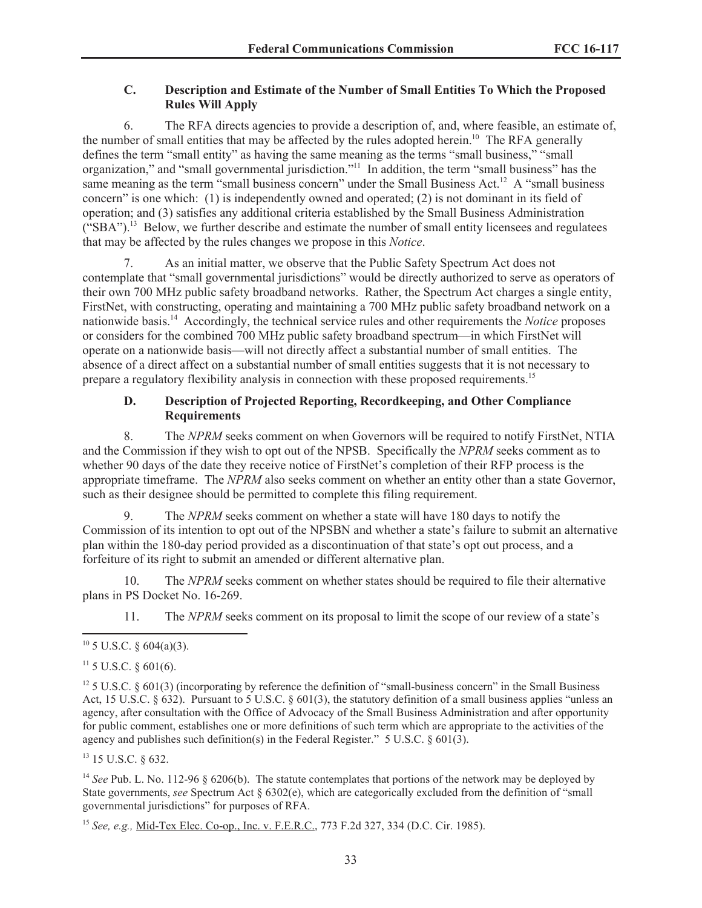## **C. Description and Estimate of the Number of Small Entities To Which the Proposed Rules Will Apply**

6. The RFA directs agencies to provide a description of, and, where feasible, an estimate of, the number of small entities that may be affected by the rules adopted herein.<sup>10</sup> The RFA generally defines the term "small entity" as having the same meaning as the terms "small business," "small organization," and "small governmental jurisdiction."<sup>11</sup> In addition, the term "small business" has the same meaning as the term "small business concern" under the Small Business Act.<sup>12</sup> A "small business" concern" is one which: (1) is independently owned and operated; (2) is not dominant in its field of operation; and (3) satisfies any additional criteria established by the Small Business Administration  $({}^{\circ}SBA")$ .<sup>13</sup> Below, we further describe and estimate the number of small entity licensees and regulatees that may be affected by the rules changes we propose in this *Notice*.

As an initial matter, we observe that the Public Safety Spectrum Act does not contemplate that "small governmental jurisdictions" would be directly authorized to serve as operators of their own 700 MHz public safety broadband networks. Rather, the Spectrum Act charges a single entity, FirstNet, with constructing, operating and maintaining a 700 MHz public safety broadband network on a nationwide basis.<sup>14</sup> Accordingly, the technical service rules and other requirements the *Notice* proposes or considers for the combined 700 MHz public safety broadband spectrum—in which FirstNet will operate on a nationwide basis—will not directly affect a substantial number of small entities. The absence of a direct affect on a substantial number of small entities suggests that it is not necessary to prepare a regulatory flexibility analysis in connection with these proposed requirements.<sup>15</sup>

## **D. Description of Projected Reporting, Recordkeeping, and Other Compliance Requirements**

8. The *NPRM* seeks comment on when Governors will be required to notify FirstNet, NTIA and the Commission if they wish to opt out of the NPSB. Specifically the *NPRM* seeks comment as to whether 90 days of the date they receive notice of FirstNet's completion of their RFP process is the appropriate timeframe. The *NPRM* also seeks comment on whether an entity other than a state Governor, such as their designee should be permitted to complete this filing requirement.

9. The *NPRM* seeks comment on whether a state will have 180 days to notify the Commission of its intention to opt out of the NPSBN and whether a state's failure to submit an alternative plan within the 180-day period provided as a discontinuation of that state's opt out process, and a forfeiture of its right to submit an amended or different alternative plan.

10. The *NPRM* seeks comment on whether states should be required to file their alternative plans in PS Docket No. 16-269.

11. The *NPRM* seeks comment on its proposal to limit the scope of our review of a state's

<sup>12</sup> 5 U.S.C. § 601(3) (incorporating by reference the definition of "small-business concern" in the Small Business Act, 15 U.S.C. § 632). Pursuant to 5 U.S.C. § 601(3), the statutory definition of a small business applies "unless an agency, after consultation with the Office of Advocacy of the Small Business Administration and after opportunity for public comment, establishes one or more definitions of such term which are appropriate to the activities of the agency and publishes such definition(s) in the Federal Register." 5 U.S.C. § 601(3).

<sup>13</sup> 15 U.S.C. § 632.

<sup>14</sup> See Pub. L. No. 112-96 § 6206(b). The statute contemplates that portions of the network may be deployed by State governments, *see* Spectrum Act § 6302(e), which are categorically excluded from the definition of "small governmental jurisdictions" for purposes of RFA.

<sup>15</sup> *See, e.g.,* Mid-Tex Elec. Co-op., Inc. v. F.E.R.C., 773 F.2d 327, 334 (D.C. Cir. 1985).

 $10\,5$  U.S.C. § 604(a)(3).

 $11\,5$  U.S.C.  $8\,601(6)$ .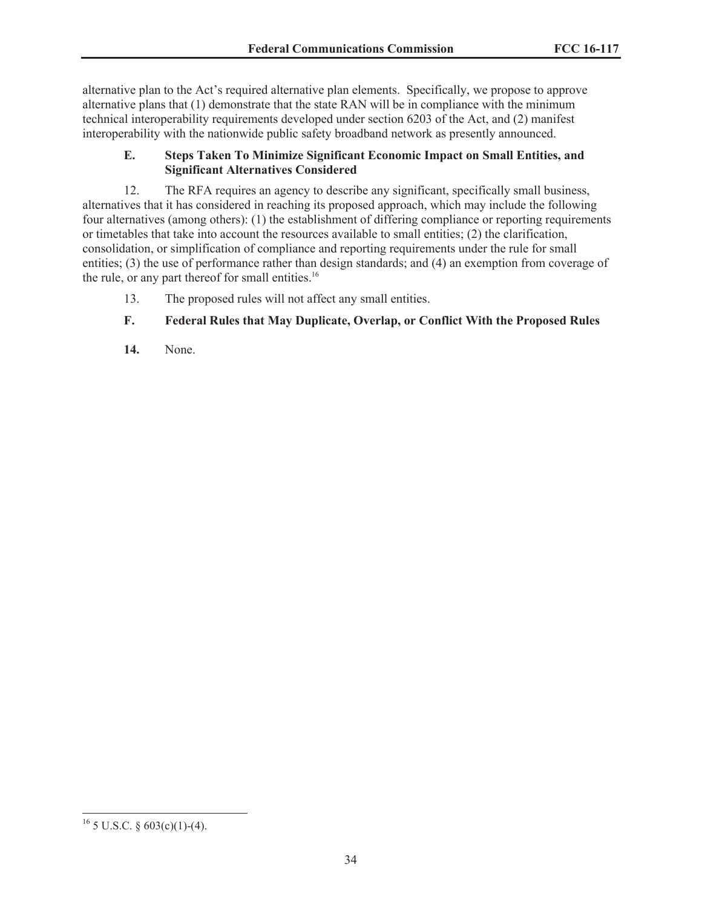alternative plan to the Act's required alternative plan elements. Specifically, we propose to approve alternative plans that (1) demonstrate that the state RAN will be in compliance with the minimum technical interoperability requirements developed under section 6203 of the Act, and (2) manifest interoperability with the nationwide public safety broadband network as presently announced.

# **E. Steps Taken To Minimize Significant Economic Impact on Small Entities, and Significant Alternatives Considered**

12. The RFA requires an agency to describe any significant, specifically small business, alternatives that it has considered in reaching its proposed approach, which may include the following four alternatives (among others): (1) the establishment of differing compliance or reporting requirements or timetables that take into account the resources available to small entities; (2) the clarification, consolidation, or simplification of compliance and reporting requirements under the rule for small entities; (3) the use of performance rather than design standards; and (4) an exemption from coverage of the rule, or any part thereof for small entities.<sup>16</sup>

13. The proposed rules will not affect any small entities.

# **F. Federal Rules that May Duplicate, Overlap, or Conflict With the Proposed Rules**

**14.** None.

<sup>&</sup>lt;sup>16</sup> 5 U.S.C. § 603(c)(1)-(4).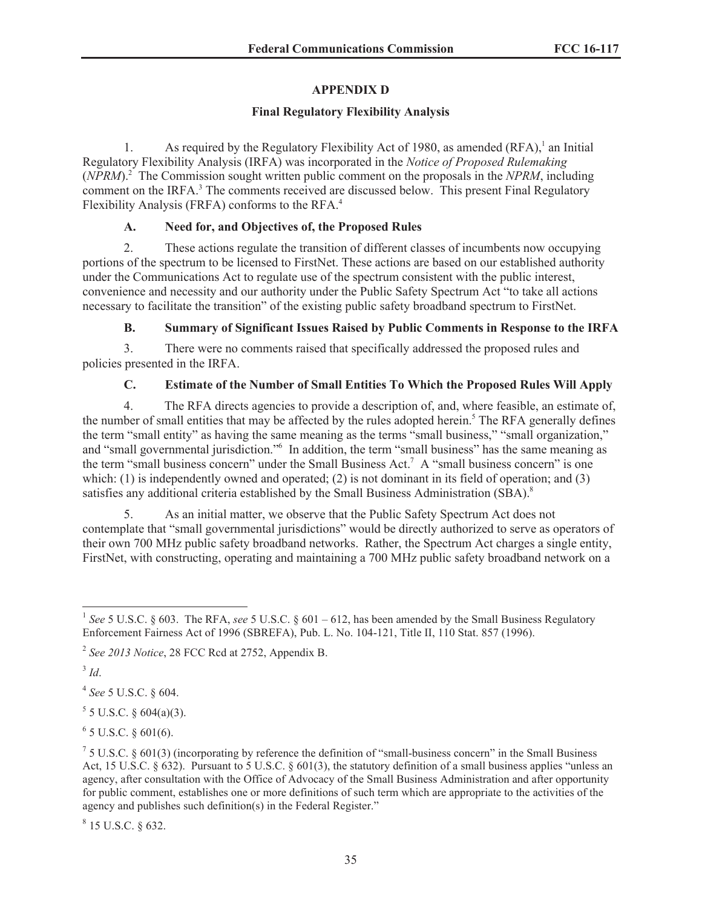# **APPENDIX D**

### **Final Regulatory Flexibility Analysis**

1. As required by the Regulatory Flexibility Act of 1980, as amended  $(RFA)$ ,<sup>1</sup> an Initial Regulatory Flexibility Analysis (IRFA) was incorporated in the *Notice of Proposed Rulemaking* (*NPRM*).<sup>2</sup> The Commission sought written public comment on the proposals in the *NPRM*, including comment on the IRFA.<sup>3</sup> The comments received are discussed below. This present Final Regulatory Flexibility Analysis (FRFA) conforms to the RFA.<sup>4</sup>

# **A. Need for, and Objectives of, the Proposed Rules**

2. These actions regulate the transition of different classes of incumbents now occupying portions of the spectrum to be licensed to FirstNet. These actions are based on our established authority under the Communications Act to regulate use of the spectrum consistent with the public interest, convenience and necessity and our authority under the Public Safety Spectrum Act "to take all actions necessary to facilitate the transition" of the existing public safety broadband spectrum to FirstNet.

# **B. Summary of Significant Issues Raised by Public Comments in Response to the IRFA**

3. There were no comments raised that specifically addressed the proposed rules and policies presented in the IRFA.

# **C. Estimate of the Number of Small Entities To Which the Proposed Rules Will Apply**

4. The RFA directs agencies to provide a description of, and, where feasible, an estimate of, the number of small entities that may be affected by the rules adopted herein.<sup>5</sup> The RFA generally defines the term "small entity" as having the same meaning as the terms "small business," "small organization," and "small governmental jurisdiction."<sup>6</sup> In addition, the term "small business" has the same meaning as the term "small business concern" under the Small Business Act.<sup>7</sup> A "small business concern" is one which: (1) is independently owned and operated; (2) is not dominant in its field of operation; and (3) satisfies any additional criteria established by the Small Business Administration (SBA).<sup>8</sup>

5. As an initial matter, we observe that the Public Safety Spectrum Act does not contemplate that "small governmental jurisdictions" would be directly authorized to serve as operators of their own 700 MHz public safety broadband networks. Rather, the Spectrum Act charges a single entity, FirstNet, with constructing, operating and maintaining a 700 MHz public safety broadband network on a

3 *Id*.

4 *See* 5 U.S.C. § 604.

 $5$  5 U.S.C. § 604(a)(3).

 $6$  5 U.S.C. § 601(6).

 $8$  15 U.S.C. § 632.

<sup>&</sup>lt;sup>1</sup> See 5 U.S.C. § 603. The RFA, see 5 U.S.C. § 601 – 612, has been amended by the Small Business Regulatory Enforcement Fairness Act of 1996 (SBREFA), Pub. L. No. 104-121, Title II, 110 Stat. 857 (1996).

<sup>2</sup> *See 2013 Notice*, 28 FCC Rcd at 2752, Appendix B.

 $75$  U.S.C. § 601(3) (incorporating by reference the definition of "small-business concern" in the Small Business Act, 15 U.S.C.  $\S 632$ ). Pursuant to 5 U.S.C.  $\S 601(3)$ , the statutory definition of a small business applies "unless an agency, after consultation with the Office of Advocacy of the Small Business Administration and after opportunity for public comment, establishes one or more definitions of such term which are appropriate to the activities of the agency and publishes such definition(s) in the Federal Register."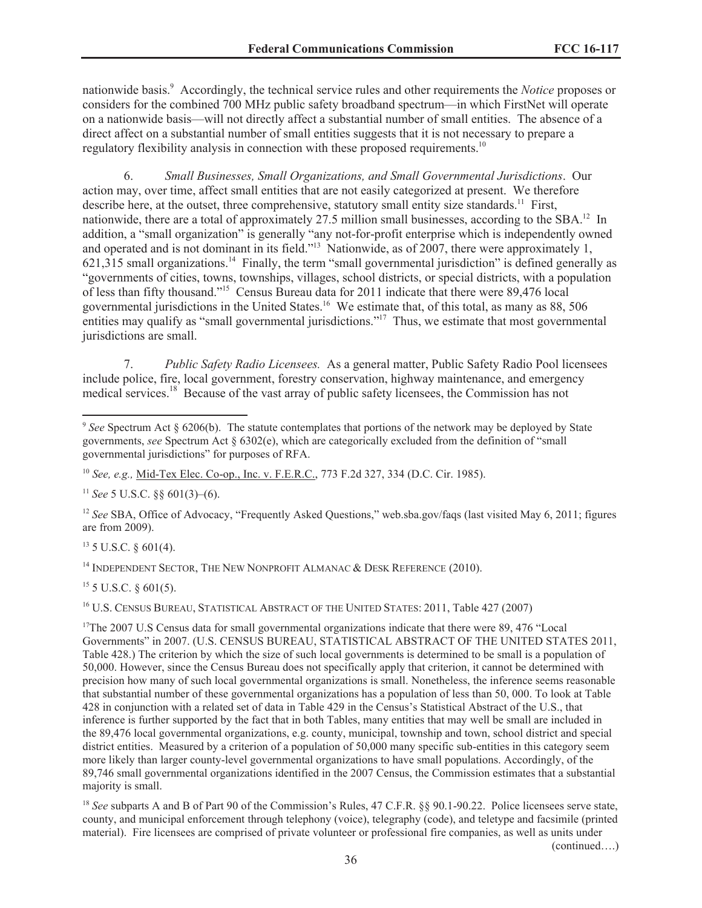nationwide basis.<sup>9</sup> Accordingly, the technical service rules and other requirements the *Notice* proposes or considers for the combined 700 MHz public safety broadband spectrum—in which FirstNet will operate on a nationwide basis—will not directly affect a substantial number of small entities. The absence of a direct affect on a substantial number of small entities suggests that it is not necessary to prepare a regulatory flexibility analysis in connection with these proposed requirements.<sup>10</sup>

6. *Small Businesses, Small Organizations, and Small Governmental Jurisdictions*. Our action may, over time, affect small entities that are not easily categorized at present. We therefore describe here, at the outset, three comprehensive, statutory small entity size standards.<sup>11</sup> First, nationwide, there are a total of approximately 27.5 million small businesses, according to the SBA.<sup>12</sup> In addition, a "small organization" is generally "any not-for-profit enterprise which is independently owned and operated and is not dominant in its field."<sup>13</sup> Nationwide, as of 2007, there were approximately 1,  $621,315$  small organizations.<sup>14</sup> Finally, the term "small governmental jurisdiction" is defined generally as "governments of cities, towns, townships, villages, school districts, or special districts, with a population of less than fifty thousand."<sup>15</sup> Census Bureau data for 2011 indicate that there were 89,476 local governmental jurisdictions in the United States.<sup>16</sup> We estimate that, of this total, as many as 88, 506 entities may qualify as "small governmental jurisdictions."<sup>17</sup> Thus, we estimate that most governmental jurisdictions are small.

7. *Public Safety Radio Licensees.* As a general matter, Public Safety Radio Pool licensees include police, fire, local government, forestry conservation, highway maintenance, and emergency medical services.<sup>18</sup> Because of the vast array of public safety licensees, the Commission has not

 $^{11}$  *See* 5 U.S.C.  $88601(3)–(6)$ .

<sup>12</sup> See SBA, Office of Advocacy, "Frequently Asked Questions," web.sba.gov/faqs (last visited May 6, 2011; figures are from 2009).

 $13$  5 U.S.C.  $\frac{601(4)}{4}$ .

<sup>14</sup> INDEPENDENT SECTOR, THE NEW NONPROFIT ALMANAC & DESK REFERENCE (2010).

 $15$  5 U.S.C. § 601(5).

<sup>16</sup> U.S. CENSUS BUREAU, STATISTICAL ABSTRACT OF THE UNITED STATES: 2011, Table 427 (2007)

<sup>17</sup>The 2007 U.S Census data for small governmental organizations indicate that there were 89, 476 "Local Governments" in 2007. (U.S. CENSUS BUREAU, STATISTICAL ABSTRACT OF THE UNITED STATES 2011, Table 428.) The criterion by which the size of such local governments is determined to be small is a population of 50,000. However, since the Census Bureau does not specifically apply that criterion, it cannot be determined with precision how many of such local governmental organizations is small. Nonetheless, the inference seems reasonable that substantial number of these governmental organizations has a population of less than 50, 000. To look at Table 428 in conjunction with a related set of data in Table 429 in the Census's Statistical Abstract of the U.S., that inference is further supported by the fact that in both Tables, many entities that may well be small are included in the 89,476 local governmental organizations, e.g. county, municipal, township and town, school district and special district entities. Measured by a criterion of a population of 50,000 many specific sub-entities in this category seem more likely than larger county-level governmental organizations to have small populations. Accordingly, of the 89,746 small governmental organizations identified in the 2007 Census, the Commission estimates that a substantial majority is small.

<sup>18</sup> *See* subparts A and B of Part 90 of the Commission's Rules, 47 C.F.R. §§ 90.1-90.22. Police licensees serve state, county, and municipal enforcement through telephony (voice), telegraphy (code), and teletype and facsimile (printed material). Fire licensees are comprised of private volunteer or professional fire companies, as well as units under

(continued….)

<sup>9</sup> *See* Spectrum Act § 6206(b). The statute contemplates that portions of the network may be deployed by State governments, *see* Spectrum Act § 6302(e), which are categorically excluded from the definition of "small governmental jurisdictions" for purposes of RFA.

<sup>10</sup> *See, e.g.,* Mid-Tex Elec. Co-op., Inc. v. F.E.R.C., 773 F.2d 327, 334 (D.C. Cir. 1985).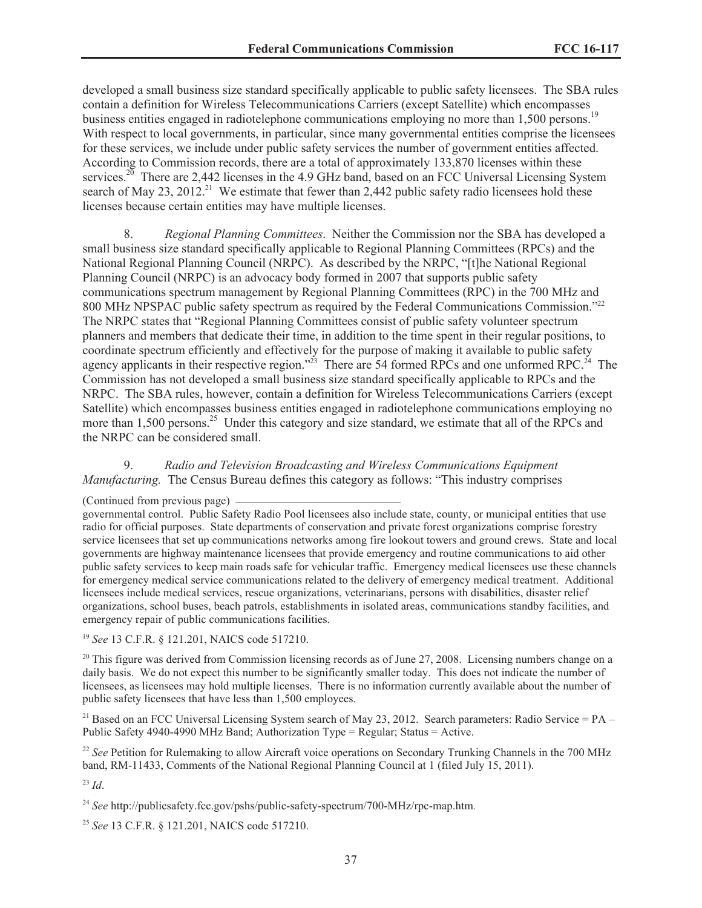developed a small business size standard specifically applicable to public safety licensees. The SBA rules contain a definition for Wireless Telecommunications Carriers (except Satellite) which encompasses business entities engaged in radiotelephone communications employing no more than 1,500 persons.<sup>19</sup> With respect to local governments, in particular, since many governmental entities comprise the licensees for these services, we include under public safety services the number of government entities affected. According to Commission records, there are a total of approximately 133,870 licenses within these services.<sup>20</sup> There are 2,442 licenses in the 4.9 GHz band, based on an FCC Universal Licensing System search of May 23, 2012.<sup>21</sup> We estimate that fewer than 2,442 public safety radio licensees hold these licenses because certain entities may have multiple licenses.

8. *Regional Planning Committees*. Neither the Commission nor the SBA has developed a small business size standard specifically applicable to Regional Planning Committees (RPCs) and the National Regional Planning Council (NRPC). As described by the NRPC, "[t]he National Regional Planning Council (NRPC) is an advocacy body formed in 2007 that supports public safety communications spectrum management by Regional Planning Committees (RPC) in the 700 MHz and 800 MHz NPSPAC public safety spectrum as required by the Federal Communications Commission."<sup>22</sup> The NRPC states that "Regional Planning Committees consist of public safety volunteer spectrum planners and members that dedicate their time, in addition to the time spent in their regular positions, to coordinate spectrum efficiently and effectively for the purpose of making it available to public safety agency applicants in their respective region."<sup>23</sup> There are 54 formed RPCs and one unformed RPC.<sup>24</sup> The Commission has not developed a small business size standard specifically applicable to RPCs and the NRPC. The SBA rules, however, contain a definition for Wireless Telecommunications Carriers (except Satellite) which encompasses business entities engaged in radiotelephone communications employing no more than 1,500 persons.<sup>25</sup> Under this category and size standard, we estimate that all of the RPCs and the NRPC can be considered small.

9. *Radio and Television Broadcasting and Wireless Communications Equipment Manufacturing.* The Census Bureau defines this category as follows: "This industry comprises

governmental control. Public Safety Radio Pool licensees also include state, county, or municipal entities that use radio for official purposes. State departments of conservation and private forest organizations comprise forestry service licensees that set up communications networks among fire lookout towers and ground crews. State and local governments are highway maintenance licensees that provide emergency and routine communications to aid other public safety services to keep main roads safe for vehicular traffic. Emergency medical licensees use these channels for emergency medical service communications related to the delivery of emergency medical treatment. Additional licensees include medical services, rescue organizations, veterinarians, persons with disabilities, disaster relief organizations, school buses, beach patrols, establishments in isolated areas, communications standby facilities, and emergency repair of public communications facilities.

<sup>19</sup> *See* 13 C.F.R. § 121.201, NAICS code 517210.

 $20$  This figure was derived from Commission licensing records as of June 27, 2008. Licensing numbers change on a daily basis. We do not expect this number to be significantly smaller today. This does not indicate the number of licensees, as licensees may hold multiple licenses. There is no information currently available about the number of public safety licensees that have less than 1,500 employees.

<sup>21</sup> Based on an FCC Universal Licensing System search of May 23, 2012. Search parameters: Radio Service = PA – Public Safety 4940-4990 MHz Band; Authorization Type = Regular; Status = Active.

<sup>22</sup> See Petition for Rulemaking to allow Aircraft voice operations on Secondary Trunking Channels in the 700 MHz band, RM-11433, Comments of the National Regional Planning Council at 1 (filed July 15, 2011).

<sup>23</sup> *Id*.

<sup>24</sup> *See* http://publicsafety.fcc.gov/pshs/public-safety-spectrum/700-MHz/rpc-map.htm.

<sup>25</sup> *See* 13 C.F.R. § 121.201, NAICS code 517210.

<sup>(</sup>Continued from previous page)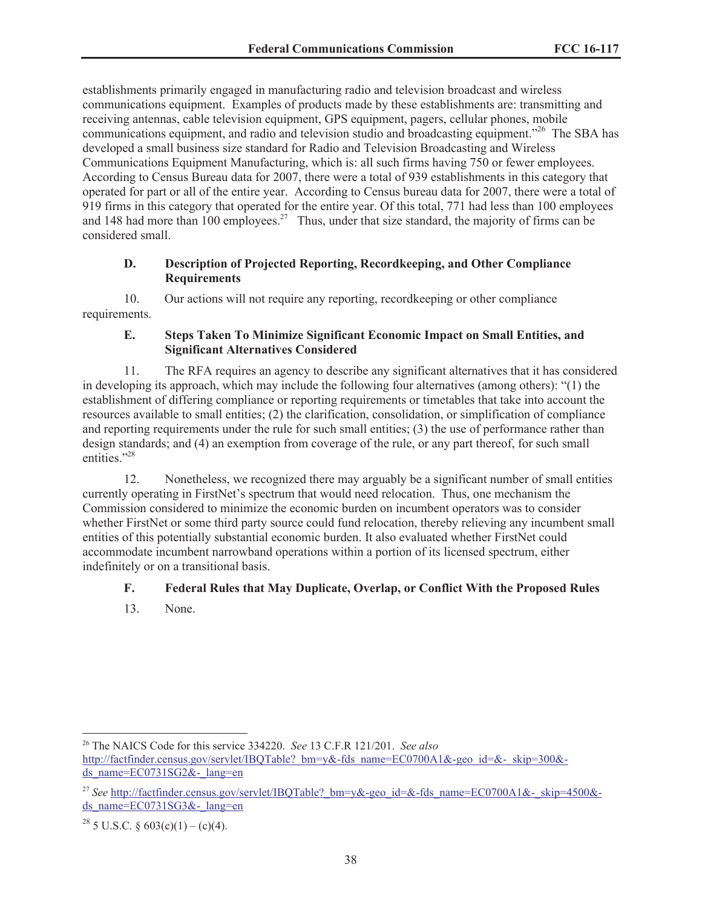establishments primarily engaged in manufacturing radio and television broadcast and wireless communications equipment. Examples of products made by these establishments are: transmitting and receiving antennas, cable television equipment, GPS equipment, pagers, cellular phones, mobile communications equipment, and radio and television studio and broadcasting equipment."<sup>26</sup> The SBA has developed a small business size standard for Radio and Television Broadcasting and Wireless Communications Equipment Manufacturing, which is: all such firms having 750 or fewer employees. According to Census Bureau data for 2007, there were a total of 939 establishments in this category that operated for part or all of the entire year. According to Census bureau data for 2007, there were a total of 919 firms in this category that operated for the entire year. Of this total, 771 had less than 100 employees and 148 had more than 100 employees.<sup>27</sup> Thus, under that size standard, the majority of firms can be considered small.

### **D. Description of Projected Reporting, Recordkeeping, and Other Compliance Requirements**

10. Our actions will not require any reporting, recordkeeping or other compliance requirements.

## **E. Steps Taken To Minimize Significant Economic Impact on Small Entities, and Significant Alternatives Considered**

11. The RFA requires an agency to describe any significant alternatives that it has considered in developing its approach, which may include the following four alternatives (among others): "(1) the establishment of differing compliance or reporting requirements or timetables that take into account the resources available to small entities; (2) the clarification, consolidation, or simplification of compliance and reporting requirements under the rule for such small entities; (3) the use of performance rather than design standards; and (4) an exemption from coverage of the rule, or any part thereof, for such small entities<sup>"28</sup>

12. Nonetheless, we recognized there may arguably be a significant number of small entities currently operating in FirstNet's spectrum that would need relocation. Thus, one mechanism the Commission considered to minimize the economic burden on incumbent operators was to consider whether FirstNet or some third party source could fund relocation, thereby relieving any incumbent small entities of this potentially substantial economic burden. It also evaluated whether FirstNet could accommodate incumbent narrowband operations within a portion of its licensed spectrum, either indefinitely or on a transitional basis.

# **F. Federal Rules that May Duplicate, Overlap, or Conflict With the Proposed Rules**

13. None.

<sup>26</sup> The NAICS Code for this service 334220. *See* 13 C.F.R 121/201. *See also* http://factfinder.census.gov/servlet/IBOTable? bm=y&-fds\_name=EC0700A1&-geo\_id=&-\_skip=300&ds\_name=EC0731SG2&-\_lang=en

<sup>&</sup>lt;sup>27</sup> See http://factfinder.census.gov/servlet/IBQTable? bm=y&-geo\_id=&-fds\_name=EC0700A1&-\_skip=4500&ds\_name=EC0731SG3&-\_lang=en

<sup>&</sup>lt;sup>28</sup> 5 U.S.C. § 603(c)(1) – (c)(4).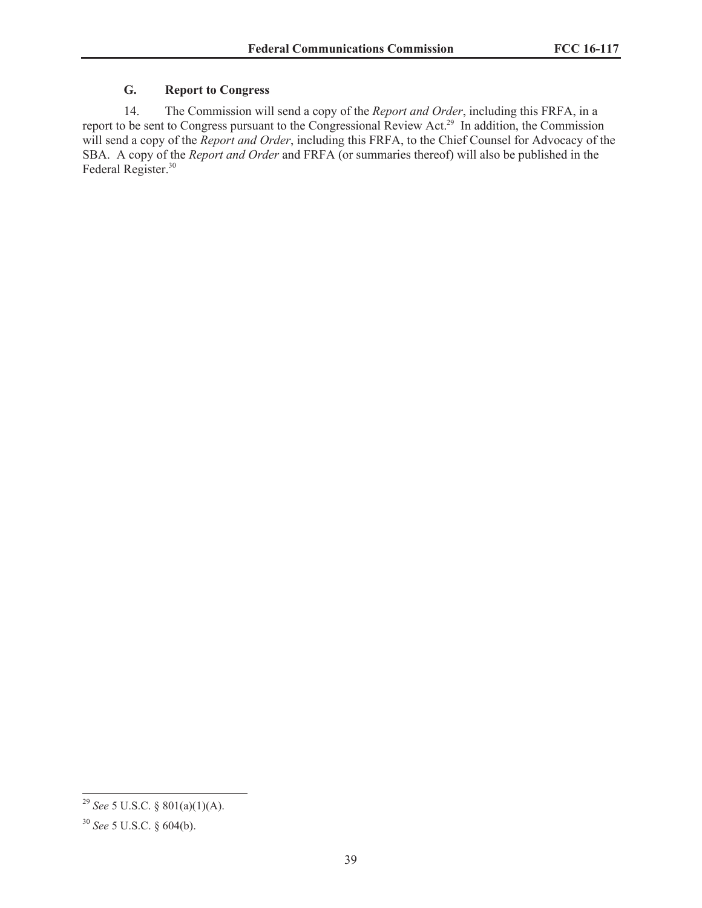# **G. Report to Congress**

14. The Commission will send a copy of the *Report and Order*, including this FRFA, in a report to be sent to Congress pursuant to the Congressional Review Act.<sup>29</sup> In addition, the Commission will send a copy of the *Report and Order*, including this FRFA, to the Chief Counsel for Advocacy of the SBA. A copy of the *Report and Order* and FRFA (or summaries thereof) will also be published in the Federal Register.<sup>30</sup>

<sup>29</sup> *See* 5 U.S.C. § 801(a)(1)(A).

<sup>30</sup> *See* 5 U.S.C. § 604(b).